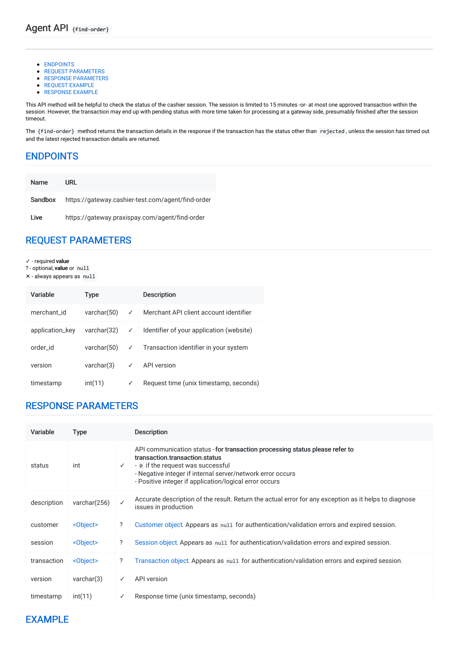- [ENDPOINTS](#page-0-0)
- **REQUEST [PARAMETERS](#page-0-1)**
- **RESPONSE [PARAMETERS](#page-0-2)**
- **REQUEST EXAMPLE**
- RESPONSE EXAMPLE

This API method will be helpful to check the status of the cashier session. The session is limited to 15 minutes -or- at most one approved transaction within the session. However, the transaction may end up with pending status with more time taken for processing at a gateway side, presumably finished after the session timeout.

The {find-order} method returns the transaction details in the response if the transaction has the status other than rejected, unless the session has timed out and the latest rejected transaction details are returned.

### <span id="page-0-0"></span>[ENDPOINTS](#page-0-0)

| <b>Name</b> | URL                                               |
|-------------|---------------------------------------------------|
| Sandbox     | https://gateway.cashier-test.com/agent/find-order |
| I ive       | https://gateway.praxispay.com/agent/find-order    |

# <span id="page-0-1"></span>REQUEST [PARAMETERS](#page-0-1)

- ✓ required value
- ? optional, value or null
- ✕ always appears as null

| Variable        | Type           |              | <b>Description</b>                       |
|-----------------|----------------|--------------|------------------------------------------|
| merchant id     | varchar $(50)$ | $\checkmark$ | Merchant API client account identifier   |
| application_key | varchar(32)    | ✓            | Identifier of your application (website) |
| order id        | varchar $(50)$ | $\checkmark$ | Transaction identifier in your system    |
| version         | varchar(3)     | ✓            | API version                              |
| timestamp       | int(11)        | $\checkmark$ | Request time (unix timestamp, seconds)   |

# <span id="page-0-2"></span>RESPONSE [PARAMETERS](#page-0-2)

| Variable    | <b>Type</b>       |              | <b>Description</b>                                                                                                                                                                                                                                                          |
|-------------|-------------------|--------------|-----------------------------------------------------------------------------------------------------------------------------------------------------------------------------------------------------------------------------------------------------------------------------|
| status      | int               | $\checkmark$ | API communication status - for transaction processing status please refer to<br>transaction.transaction.status<br>- 0 if the request was successful<br>- Negative integer if internal server/network error occurs<br>- Positive integer if application/logical error occurs |
| description | varchar(256)      | ✓            | Accurate description of the result. Return the actual error for any exception as it helps to diagnose<br>issues in production                                                                                                                                               |
| customer    | <object></object> | ?            | Customer object. Appears as null for authentication/validation errors and expired session.                                                                                                                                                                                  |
| session     | <object></object> | ?            | Session object. Appears as null for authentication/validation errors and expired session.                                                                                                                                                                                   |
| transaction | <object></object> | ?            | Transaction object. Appears as null for authentication/validation errors and expired session.                                                                                                                                                                               |
| version     | varchar(3)        | ✓            | API version                                                                                                                                                                                                                                                                 |
| timestamp   | int(11)           | ✓            | Response time (unix timestamp, seconds)                                                                                                                                                                                                                                     |

### <span id="page-0-3"></span>[EXAMPLE](#page-0-3)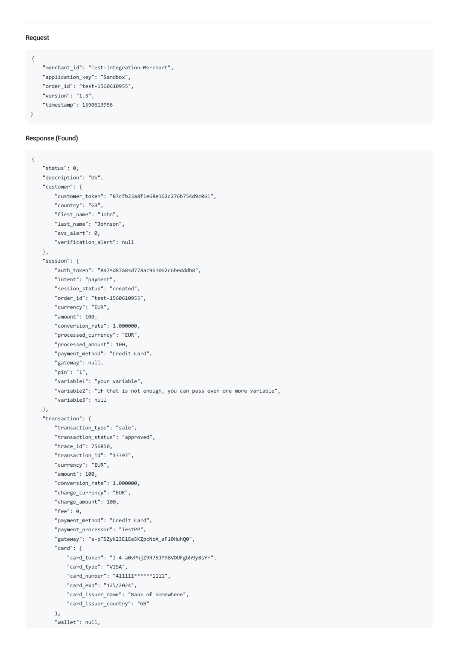#### Request

```
{
    "merchant_id": "Test-Integration-Merchant",
    "application_key": "Sandbox",
    "order_id": "test-1560610955",
    "version": "1.3",
    "timestamp": 1590613956
}
```
#### Response (Found)

```
{
   "status": 0,
   "description": "Ok",
   "customer": {
       "customer_token": "87cfb23a8f1e68e162c276b754d9c061",
       "country": "GB",
       "first_name": "John",
       "last_name": "Johnson",
       "avs_alert": 0,
       "verification_alert": null
   },
   "session": {
       "auth_token": "8a7sd87a8sd778ac961062c6bedddb8",
       "intent": "payment",
       "session_status": "created",
       "order_id": "test-1560610955",
       "currency": "EUR",
       "amount": 100,
       "conversion_rate": 1.000000,
       "processed_currency": "EUR",
       "processed_amount": 100,
       "payment_method": "Credit Card",
       "gateway": null,
       "pin": "1",
       "variable1": "your variable",
       "variable2": "if that is not enough, you can pass even one more variable",
       "variable3": null
   },
   "transaction": {
       "transaction_type": "sale",
       "transaction_status": "approved",
       "trace_id": 756850,
       "transaction_id": "13397",
       "currency": "EUR",
       "amount": 100,
       "conversion_rate": 1.000000,
       "charge_currency": "EUR",
       "charge_amount": 100,
       "fee": 0,
       "payment_method": "Credit Card",
       "payment_processor": "TestPP",
       "gateway": "s-pTSZyK23E1Ee5KZpcNbX_aFl0HuhQ0",
       "card": {
           "card_token": "J-4-a0vPhjZ9R75JP98VDUFgbh9y8sYr",
           "card_type": "VISA",
           "card_number": "411111******1111",
           "card_exp": "12\/2024",
           "card_issuer_name": "Bank of Somewhere",
           "card_issuer_country": "GB"
       },
        "wallet": null,
```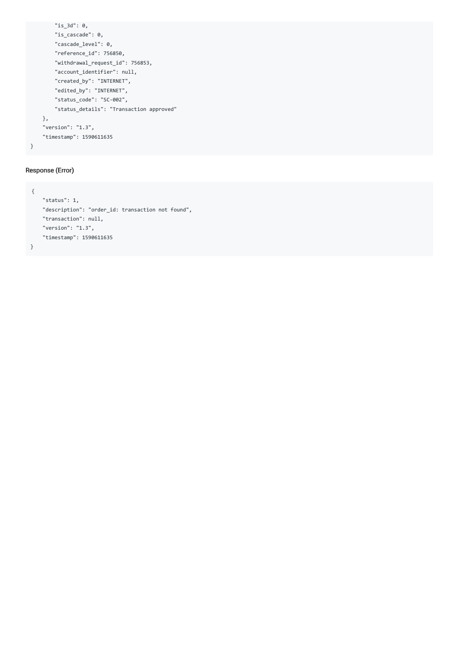```
"is_3d": 0,
       "is_cascade": 0,
       "cascade_level": 0,
       "reference_id": 756850,
       "withdrawal_request_id": 756853,
       "account_identifier": null,
       "created_by": "INTERNET",
       "edited_by": "INTERNET",
       "status_code": "SC-002",
       "status_details": "Transaction approved"
   },
    "version": "1.3",
   "timestamp": 1590611635
}
```
#### Response (Error)

```
{
   "status": 1,
   "description": "order_id: transaction not found",
   "transaction": null,
   "version": "1.3",
   "timestamp": 1590611635
}
```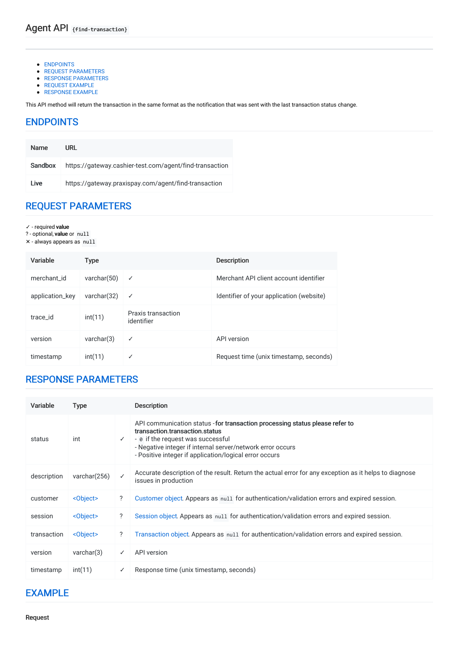- [ENDPOINTS](#page-3-0)
- **REQUEST [PARAMETERS](#page-3-1)**
- **RESPONSE [PARAMETERS](#page-3-2)**
- REQUEST EXAMPLE ● RESPONSE EXAMPLE

This API method will return the transaction in the same format as the notification that was sent with the last transaction status change.

### <span id="page-3-0"></span>[ENDPOINTS](#page-3-0)

| <b>Name</b> | URL                                                     |
|-------------|---------------------------------------------------------|
| Sandbox     | https://gateway.cashier-test.com/agent/find-transaction |
| I ive       | https://gateway.praxispay.com/agent/find-transaction    |

# <span id="page-3-1"></span>REQUEST [PARAMETERS](#page-3-1)

- ✓ required value
- ? optional, value or null
- ✕ always appears as null

| Variable        | Type           |                                  | <b>Description</b>                       |
|-----------------|----------------|----------------------------------|------------------------------------------|
| merchant id     | varchar $(50)$ | ✓                                | Merchant API client account identifier   |
| application_key | varchar $(32)$ | ✓                                | Identifier of your application (website) |
| trace id        | int(11)        | Praxis transaction<br>identifier |                                          |
| version         | varchar(3)     | ✓                                | API version                              |
| timestamp       | int(11)        | ✓                                | Request time (unix timestamp, seconds)   |

### <span id="page-3-2"></span>RESPONSE [PARAMETERS](#page-3-2)

| Variable    | <b>Type</b>       |              | Description                                                                                                                                                                                                                                                                 |
|-------------|-------------------|--------------|-----------------------------------------------------------------------------------------------------------------------------------------------------------------------------------------------------------------------------------------------------------------------------|
| status      | int               | $\checkmark$ | API communication status - for transaction processing status please refer to<br>transaction.transaction.status<br>- 0 if the request was successful<br>- Negative integer if internal server/network error occurs<br>- Positive integer if application/logical error occurs |
| description | varchar $(256)$   | ✓            | Accurate description of the result. Return the actual error for any exception as it helps to diagnose<br>issues in production                                                                                                                                               |
| customer    | <object></object> | ?            | Customer object. Appears as null for authentication/validation errors and expired session.                                                                                                                                                                                  |
| session     | <object></object> | ?            | Session object. Appears as null for authentication/validation errors and expired session.                                                                                                                                                                                   |
| transaction | <object></object> | ?            | Transaction object. Appears as null for authentication/validation errors and expired session.                                                                                                                                                                               |
| version     | varchar(3)        | ✓            | API version                                                                                                                                                                                                                                                                 |
| timestamp   | int(11)           | ✓            | Response time (unix timestamp, seconds)                                                                                                                                                                                                                                     |

### <span id="page-3-3"></span>[EXAMPLE](#page-3-3)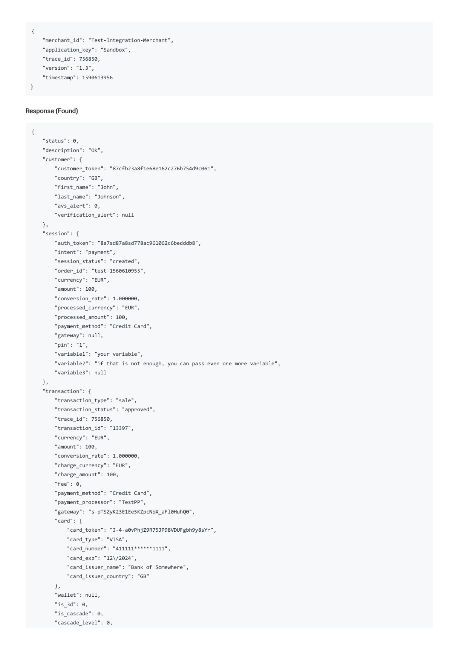```
{
```
}

```
"merchant_id": "Test-Integration-Merchant",
"application_key": "Sandbox",
"trace_id": 756850,
"version": "1.3",
"timestamp": 1590613956
```
#### Response (Found)

```
{
   "status": 0,
   "description": "Ok",
    "customer": {
       "customer_token": "87cfb23a8f1e68e162c276b754d9c061",
       "country": "GB",
       "first_name": "John",
       "last_name": "Johnson",
       "avs_alert": 0,
       "verification_alert": null
   },
    "session": {
        "auth_token": "8a7sd87a8sd778ac961062c6bedddb8",
       "intent": "payment",
       "session_status": "created",
       "order_id": "test-1560610955",
       "currency": "EUR",
       "amount": 100,
        "conversion_rate": 1.000000,
       "processed_currency": "EUR",
       "processed_amount": 100,
       "payment_method": "Credit Card",
       "gateway": null,
       "pin": "1",
        "variable1": "your variable",
        "variable2": "if that is not enough, you can pass even one more variable",
        "variable3": null
   },
    "transaction": {
       "transaction_type": "sale",
       "transaction_status": "approved",
       "trace_id": 756850,
       "transaction_id": "13397",
        "currency": "EUR",
        "amount": 100,
       "conversion_rate": 1.000000,
       "charge_currency": "EUR",
       "charge amount": 100,
       "fee": 0,
        "payment_method": "Credit Card",
        "payment_processor": "TestPP",
        "gateway": "s-pTSZyK23E1Ee5KZpcNbX_aFl0HuhQ0",
        "card": {
           "card_token": "J-4-a0vPhjZ9R75JP98VDUFgbh9y8sYr",
           "card_type": "VISA",
           "card_number": "411111******1111",
           "card_exp": "12\/2024",
           "card_issuer_name": "Bank of Somewhere",
           "card_issuer_country": "GB"
       },
        "wallet": null,
       "is_3d": 0,
       "is_cascade": 0,
       "cascade_level": 0,
```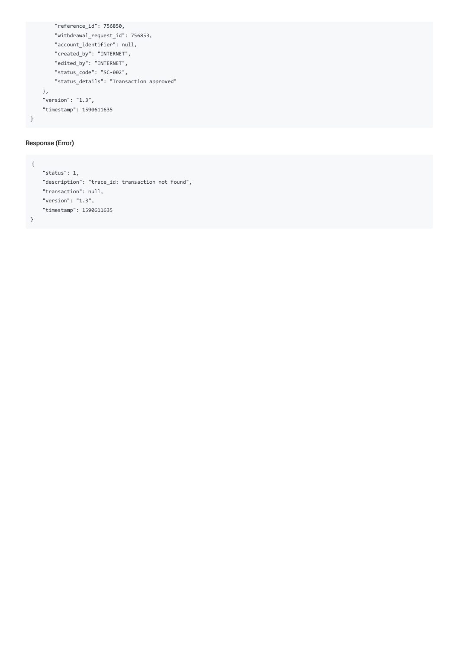```
"reference_id": 756850,
       "withdrawal_request_id": 756853,
       "account_identifier": null,
       "created_by": "INTERNET",
       "edited_by": "INTERNET",
       "status_code": "SC-002",
       "status_details": "Transaction approved"
    },
    "version": "1.3",
    "timestamp": 1590611635
}
```
#### Response (Error)

```
{
   "status": 1,
   "description": "trace_id: transaction not found",
    "transaction": null,
   "version": "1.3",
   "timestamp": 1590611635
}
```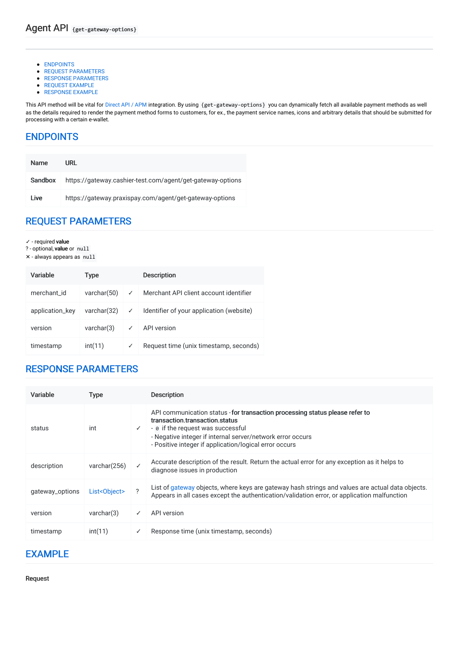- [ENDPOINTS](#page-6-0)
- **REQUEST [PARAMETERS](#page-6-1)**
- **RESPONSE [PARAMETERS](#page-6-2)**
- REQUEST EXAMPLE
- RESPONSE EXAMPLE

This API method will be vital for [Direct](file:///integration_docs/latest/direct_api/apm) API / APM integration. By using {get-gateway-options} you can dynamically fetch all available payment methods as well as the details required to render the payment method forms to customers, for ex., the payment service names, icons and arbitrary details that should be submitted for processing with a certain e-wallet.

### <span id="page-6-0"></span>[ENDPOINTS](#page-6-0)

| <b>Name</b> | URL                                                        |
|-------------|------------------------------------------------------------|
| Sandbox     | https://gateway.cashier-test.com/agent/get-gateway-options |
| Live        | https://gateway.praxispay.com/agent/get-gateway-options    |

# <span id="page-6-1"></span>REQUEST [PARAMETERS](#page-6-1)

- ✓ required value
- ? optional, value or null
- ✕ always appears as null

| Variable        | Type           |   | <b>Description</b>                       |
|-----------------|----------------|---|------------------------------------------|
| merchant id     | varchar $(50)$ | ✓ | Merchant API client account identifier   |
| application_key | varchar(32)    | ✓ | Identifier of your application (website) |
| version         | varchar(3)     | ✓ | API version                              |
| timestamp       | int(11)        | ✓ | Request time (unix timestamp, seconds)   |

### <span id="page-6-2"></span>RESPONSE [PARAMETERS](#page-6-2)

| Variable        | Type         |   | Description                                                                                                                                                                                                                                                                 |
|-----------------|--------------|---|-----------------------------------------------------------------------------------------------------------------------------------------------------------------------------------------------------------------------------------------------------------------------------|
| status          | int          | ✓ | API communication status - for transaction processing status please refer to<br>transaction transaction status<br>- o if the request was successful<br>- Negative integer if internal server/network error occurs<br>- Positive integer if application/logical error occurs |
| description     | varchar(256) |   | Accurate description of the result. Return the actual error for any exception as it helps to<br>diagnose issues in production                                                                                                                                               |
| gateway_options | List<0bject> | 2 | List of gateway objects, where keys are gateway hash strings and values are actual data objects.<br>Appears in all cases except the authentication/validation error, or application malfunction                                                                             |
| version         | varchar(3)   |   | API version                                                                                                                                                                                                                                                                 |
| timestamp       | int(11)      | ✓ | Response time (unix timestamp, seconds)                                                                                                                                                                                                                                     |

### <span id="page-6-3"></span>[EXAMPLE](#page-6-3)

Request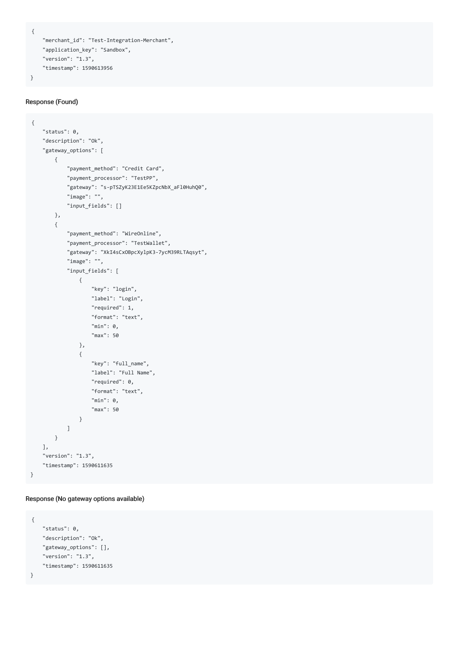```
{
```
}

```
"merchant_id": "Test-Integration-Merchant",
"application_key": "Sandbox",
"version": "1.3",
"timestamp": 1590613956
```
#### Response (Found)

```
{
    "status": 0,
    "description": "Ok",
    "gateway_options": [
       {
            "payment_method": "Credit Card",
            "payment_processor": "TestPP",
            "gateway": "s-pTSZyK23E1Ee5KZpcNbX_aFl0HuhQ0",
            "image": "",
           "input_fields": []
       },
        {
            "payment_method": "WireOnline",
            "payment_processor": "TestWallet",
            "gateway": "XkI4sCxOBpcXylpK3-7ycM39RLTAqsyt",
            "image": "",
            "input_fields": [
               {
                   "key": "login",
                   "label": "Login",
                    "required": 1,
                    "format": "text",
                   "min": 0,
                   "max": 50
               },
                {
                    "key": "full_name",
                    "label": "Full Name",
                    "required": 0,
                   "format": "text",
                   "min": 0,
                    "max": 50
               }
           ]
       }
   ],
    "version": "1.3",
   "timestamp": 1590611635
}
```
Response (No gateway options available)

```
{
    "status": 0,
   "description": "Ok",
   "gateway_options": [],
   "version": "1.3",
   "timestamp": 1590611635
}
```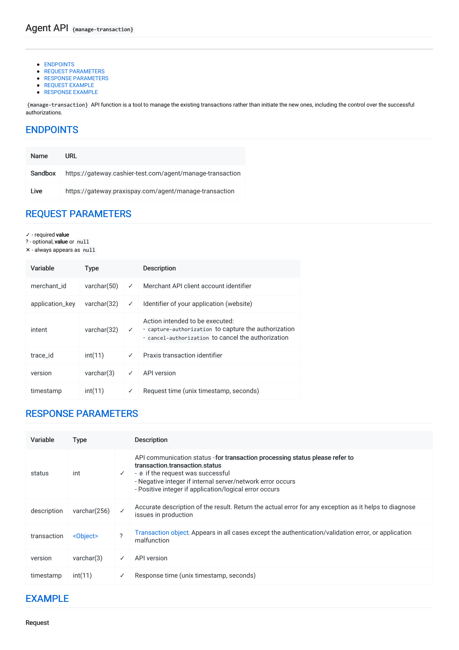- [ENDPOINTS](#page-8-0)
- **REQUEST [PARAMETERS](#page-8-1)**
- **RESPONSE [PARAMETERS](#page-8-2)**
- REQUEST EXAMPLE
- RESPONSE EXAMPLE

{manage-transaction} API function is a tool to manage the existing transactions rather than initiate the new ones, including the control over the successful authorizations.

# <span id="page-8-0"></span>[ENDPOINTS](#page-8-0)

| <b>Name</b> | URL                                                       |
|-------------|-----------------------------------------------------------|
| Sandbox     | https://gateway.cashier-test.com/agent/manage-transaction |
| Live        | https://gateway.praxispay.com/agent/manage-transaction    |

### <span id="page-8-1"></span>REQUEST [PARAMETERS](#page-8-1)

- ✓ required value
- ? optional, value or null
- ✕ always appears as null

| Variable        | <b>Type</b>    |   | <b>Description</b>                                                                                                                            |
|-----------------|----------------|---|-----------------------------------------------------------------------------------------------------------------------------------------------|
| merchant id     | varchar $(50)$ | ✓ | Merchant API client account identifier                                                                                                        |
| application_key | varchar $(32)$ | ✓ | Identifier of your application (website)                                                                                                      |
| intent          | varchar $(32)$ | ✓ | Action intended to be executed:<br>- capture-authorization to capture the authorization<br>- cancel-authorization to cancel the authorization |
| trace id        | int(11)        | ✓ | Praxis transaction identifier                                                                                                                 |
| version         | varchar(3)     | ✓ | API version                                                                                                                                   |
| timestamp       | int(11)        | ✓ | Request time (unix timestamp, seconds)                                                                                                        |

### <span id="page-8-2"></span>RESPONSE [PARAMETERS](#page-8-2)

| Variable    | <b>Type</b>       |               | <b>Description</b>                                                                                                                                                                                                                                                          |
|-------------|-------------------|---------------|-----------------------------------------------------------------------------------------------------------------------------------------------------------------------------------------------------------------------------------------------------------------------------|
| status      | int               | $\checkmark$  | API communication status - for transaction processing status please refer to<br>transaction transaction status<br>- 0 if the request was successful<br>- Negative integer if internal server/network error occurs<br>- Positive integer if application/logical error occurs |
| description | varchar(256)      | ✓             | Accurate description of the result. Return the actual error for any exception as it helps to diagnose<br>issues in production                                                                                                                                               |
| transaction | <object></object> | $\mathcal{P}$ | Transaction object. Appears in all cases except the authentication/validation error, or application<br>malfunction                                                                                                                                                          |
| version     | varchar(3)        | ✓             | API version                                                                                                                                                                                                                                                                 |
| timestamp   | int(11)           | ✓             | Response time (unix timestamp, seconds)                                                                                                                                                                                                                                     |

### <span id="page-8-3"></span>[EXAMPLE](#page-8-3)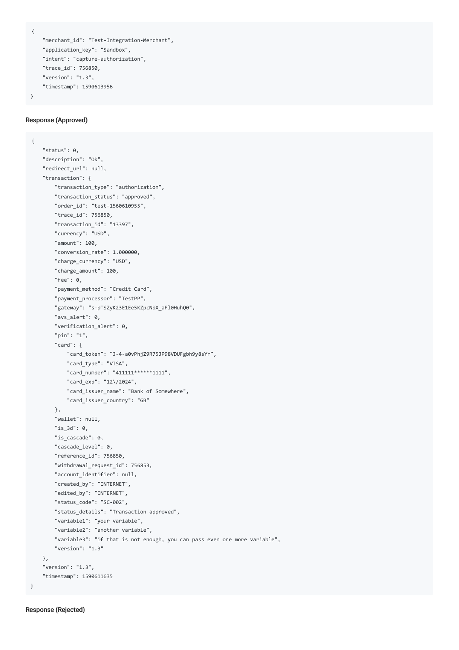```
{
```
}

```
"merchant_id": "Test-Integration-Merchant",
"application_key": "Sandbox",
"intent": "capture-authorization",
"trace_id": 756850,
"version": "1.3",
"timestamp": 1590613956
```
#### Response (Approved)

```
{
    "status": 0,
    "description": "Ok",
    "redirect_url": null,
    "transaction": {
        "transaction_type": "authorization",
       "transaction_status": "approved",
       "order_id": "test-1560610955",
       "trace_id": 756850,
        "transaction_id": "13397",
        "currency": "USD",
        "amount": 100,
        "conversion_rate": 1.000000,
       "charge_currency": "USD",
       "charge_amount": 100,
       "fee": 0,
        "payment_method": "Credit Card",
        "payment_processor": "TestPP",
        "gateway": "s-pTSZyK23E1Ee5KZpcNbX_aFl0HuhQ0",
        "avs_alert": 0,
        "verification_alert": 0,
       "pin": "1",
        "card": {
            "card_token": "J-4-a0vPhjZ9R75JP98VDUFgbh9y8sYr",
           "card_type": "VISA",
            "card_number": "411111******1111",
            "card_exp": "12\/2024",
           "card_issuer_name": "Bank of Somewhere",
           "card_issuer_country": "GB"
       },
        "wallet": null,
       "is_3d": 0,
        "is_cascade": 0,
        "cascade level": 0,
       "reference_id": 756850,
       "withdrawal_request_id": 756853,
       "account_identifier": null,
       "created_by": "INTERNET",
        "edited_by": "INTERNET",
        "status_code": "SC-002",
        "status_details": "Transaction approved",
        "variable1": "your variable",
       "variable2": "another variable",
       "variable3": "if that is not enough, you can pass even one more variable",
        "version": "1.3"
   },
    "version": "1.3",
    "timestamp": 1590611635
}
```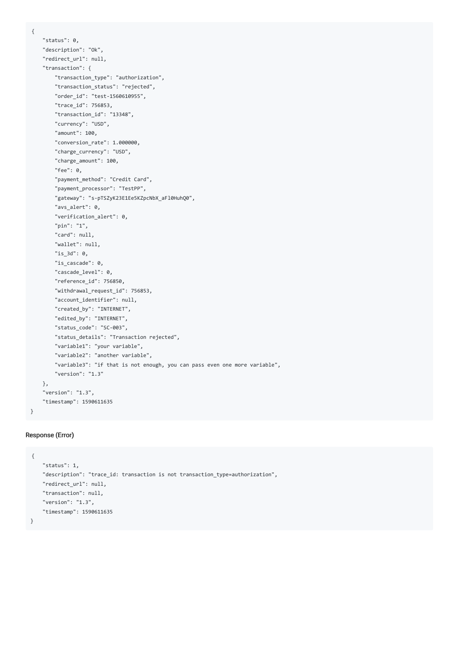```
{
   "status": 0,
   "description": "Ok",
   "redirect_url": null,
    "transaction": {
       "transaction_type": "authorization",
       "transaction_status": "rejected",
       "order_id": "test-1560610955",
       "trace_id": 756853,
       "transaction_id": "13348",
       "currency": "USD",
       "amount": 100,
       "conversion_rate": 1.000000,
        "charge_currency": "USD",
       "charge amount": 100,
       "fee": 0,
       "payment_method": "Credit Card",
       "payment_processor": "TestPP",
       "gateway": "s-pTSZyK23E1Ee5KZpcNbX_aFl0HuhQ0",
       "avs_alert": 0,
       "verification_alert": 0,
       "pin": "1",
       "card": null,
       "wallet": null,
       "is_3d": 0,
       "is_cascade": 0,
       "cascade_level": 0,
       "reference_id": 756850,
       "withdrawal_request_id": 756853,
       "account_identifier": null,
       "created_by": "INTERNET",
       "edited_by": "INTERNET",
       "status_code": "SC-003",
       "status_details": "Transaction rejected",
       "variable1": "your variable",
       "variable2": "another variable",
       "variable3": "if that is not enough, you can pass even one more variable",
       "version": "1.3"
   },
   "version": "1.3",
   "timestamp": 1590611635
```
#### Response (Error)

```
{
   "status": 1,
   "description": "trace_id: transaction is not transaction_type=authorization",
   "redirect_url": null,
   "transaction": null,
   "version": "1.3",
   "timestamp": 1590611635
}
```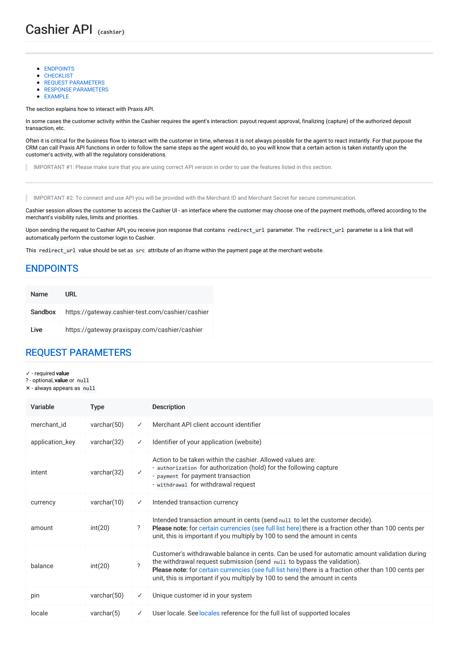- [ENDPOINTS](#page-11-0)
- **CHECKLIST**
- **REQUEST [PARAMETERS](#page-11-1)**
- RESPONSE [PARAMETERS](#page-12-0)
- [EXAMPLE](#page-12-1)

The section explains how to interact with Praxis API.

In some cases the customer activity within the Cashier requires the agent's interaction: payout request approval, finalizing (capture) of the authorized deposit transaction, etc.

Often it is critical for the business flow to interact with the customer in time, whereas it is not always possible for the agent to react instantly. For that purpose the CRM can call Praxis API functions in order to follow the same steps as the agent would do, so you will know that a certain action is taken instantly upon the customer's activity, with all the regulatory considerations.

IMPORTANT #1: Please make sure that you are using correct API version in order to use the features listed in this section. ٠

IMPORTANT #2: To connect and use API you will be provided with the Merchant ID and Merchant Secret for secure communication.

Cashier session allows the customer to access the Cashier UI - an interface where the customer may choose one of the payment methods, offered according to the merchant's visibility rules, limits and priorities.

Upon sending the request to Cashier API, you receive json response that contains redirect\_url parameter. The redirect\_url parameter is a link that will automatically perform the customer login to Cashier.

This redirect\_url value should be set as src attribute of an iframe within the payment page at the merchant website.

### <span id="page-11-0"></span>[ENDPOINTS](#page-11-0)

| <b>Name</b> | URL                                              |
|-------------|--------------------------------------------------|
| Sandbox     | https://gateway.cashier-test.com/cashier/cashier |
| I ive       | https://gateway.praxispay.com/cashier/cashier    |

### <span id="page-11-1"></span>REQUEST [PARAMETERS](#page-11-1)

- ✓ required value
- ? optional, value or null
- ✕ always appears as null

| Variable        | <b>Type</b>    |              | <b>Description</b>                                                                                                                                                                                                                                                                                                                                             |
|-----------------|----------------|--------------|----------------------------------------------------------------------------------------------------------------------------------------------------------------------------------------------------------------------------------------------------------------------------------------------------------------------------------------------------------------|
| merchant id     | varchar $(50)$ | $\checkmark$ | Merchant API client account identifier                                                                                                                                                                                                                                                                                                                         |
| application_key | varchar $(32)$ | $\checkmark$ | Identifier of your application (website)                                                                                                                                                                                                                                                                                                                       |
| intent          | varchar $(32)$ | ✓            | Action to be taken within the cashier. Allowed values are:<br>- authorization for authorization (hold) for the following capture<br>- payment for payment transaction<br>- withdrawal for withdrawal request                                                                                                                                                   |
| currency        | varchar $(10)$ | $\checkmark$ | Intended transaction currency                                                                                                                                                                                                                                                                                                                                  |
| amount          | int(20)        | ?            | Intended transaction amount in cents (send null to let the customer decide).<br>Please note: for certain currencies (see full list here) there is a fraction other than 100 cents per<br>unit, this is important if you multiply by 100 to send the amount in cents                                                                                            |
| balance         | int(20)        | ?            | Customer's withdrawable balance in cents. Can be used for automatic amount validation during<br>the withdrawal request submission (send null to bypass the validation).<br>Please note: for certain currencies (see full list here) there is a fraction other than 100 cents per<br>unit, this is important if you multiply by 100 to send the amount in cents |
| pin             | varchar(50)    | $\checkmark$ | Unique customer id in your system                                                                                                                                                                                                                                                                                                                              |
| locale          | varchar $(5)$  | $\checkmark$ | User locale. See locales reference for the full list of supported locales                                                                                                                                                                                                                                                                                      |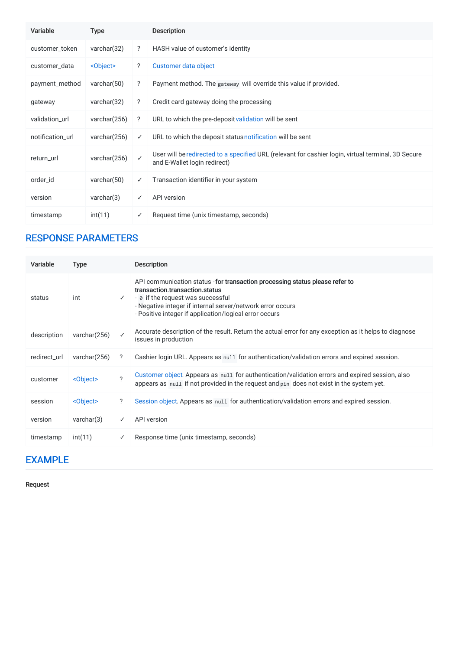| Variable         | Type              |              | <b>Description</b>                                                                                                                  |
|------------------|-------------------|--------------|-------------------------------------------------------------------------------------------------------------------------------------|
| customer_token   | varchar $(32)$    | ?            | HASH value of customer's identity                                                                                                   |
| customer data    | <object></object> | ?            | Customer data object                                                                                                                |
| payment_method   | varchar $(50)$    | ?            | Payment method. The gateway will override this value if provided.                                                                   |
| gateway          | varchar $(32)$    | ?            | Credit card gateway doing the processing                                                                                            |
| validation_url   | varchar(256)      | $\cdot$      | URL to which the pre-deposit validation will be sent                                                                                |
| notification url | varchar(256)      | $\checkmark$ | URL to which the deposit status notification will be sent                                                                           |
| return_url       | varchar(256)      | $\checkmark$ | User will be redirected to a specified URL (relevant for cashier login, virtual terminal, 3D Secure<br>and E-Wallet login redirect) |
| order id         | varchar $(50)$    | ✓            | Transaction identifier in your system                                                                                               |
| version          | varchar(3)        | ✓            | <b>API</b> version                                                                                                                  |
| timestamp        | int(11)           | ✓            | Request time (unix timestamp, seconds)                                                                                              |

# <span id="page-12-0"></span>RESPONSE [PARAMETERS](#page-12-0)

| Variable     | <b>Type</b>       |              | <b>Description</b>                                                                                                                                                                                                                                                          |
|--------------|-------------------|--------------|-----------------------------------------------------------------------------------------------------------------------------------------------------------------------------------------------------------------------------------------------------------------------------|
| status       | int               | $\checkmark$ | API communication status - for transaction processing status please refer to<br>transaction.transaction.status<br>- ø if the request was successful<br>- Negative integer if internal server/network error occurs<br>- Positive integer if application/logical error occurs |
| description  | varchar(256)      | ✓            | Accurate description of the result. Return the actual error for any exception as it helps to diagnose<br>issues in production                                                                                                                                               |
| redirect_url | varchar(256)      | ?            | Cashier login URL. Appears as null for authentication/validation errors and expired session.                                                                                                                                                                                |
| customer     | <object></object> | $\gamma$     | Customer object. Appears as null for authentication/validation errors and expired session, also<br>appears as null if not provided in the request and pin does not exist in the system yet.                                                                                 |
| session      | <object></object> | ?            | Session object. Appears as null for authentication/validation errors and expired session.                                                                                                                                                                                   |
| version      | varchar(3)        | ✓            | API version                                                                                                                                                                                                                                                                 |
| timestamp    | int(11)           | ✓            | Response time (unix timestamp, seconds)                                                                                                                                                                                                                                     |

### <span id="page-12-1"></span>[EXAMPLE](#page-12-1)

Request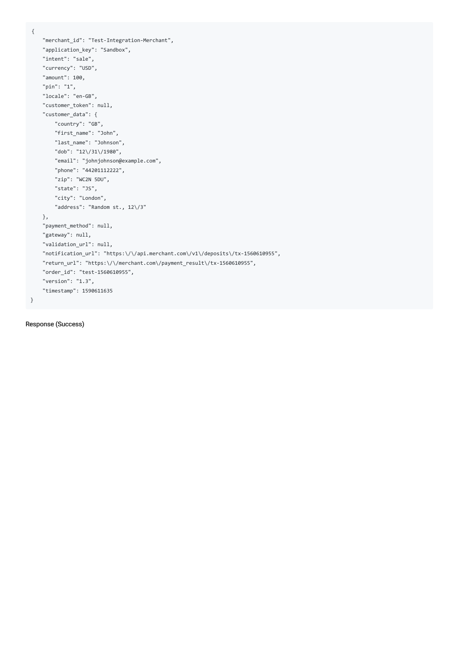{

```
"merchant_id": "Test-Integration-Merchant",
   "application_key": "Sandbox",
   "intent": "sale",
   "currency": "USD",
   "amount": 100,
   "pin": "1",
   "locale": "en-GB",
   "customer_token": null,
   "customer_data": {
       "country": "GB",
       "first_name": "John",
       "last_name": "Johnson",
       "dob": "12\/31\/1980",
       "email": "johnjohnson@example.com",
       "phone": "44201112222",
       "zip": "WC2N 5DU",
       "state": "JS",
       "city": "London",
       "address": "Random st., 12\/3"
   },
   "payment_method": null,
   "gateway": null,
   "validation_url": null,
   "notification_url": "https:\/\/api.merchant.com\/v1\/deposits\/tx-1560610955",
   "return_url": "https:\/\/merchant.com\/payment_result\/tx-1560610955",
   "order_id": "test-1560610955",
   "version": "1.3",
   "timestamp": 1590611635
}
```
Response (Success)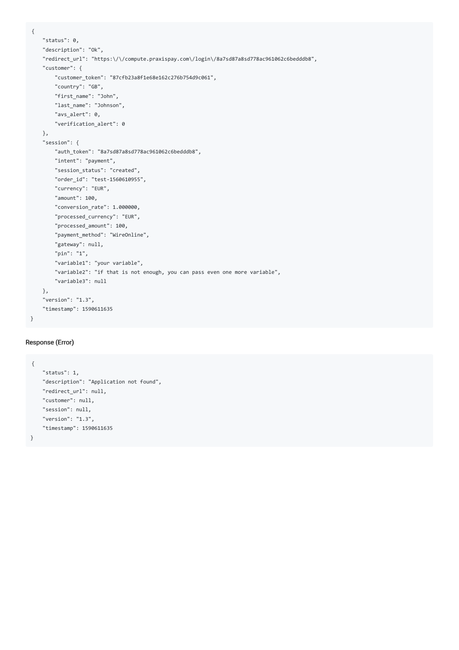```
{
   "status": 0,
   "description": "Ok",
   "redirect_url": "https:\/\/compute.praxispay.com\/login\/8a7sd87a8sd778ac961062c6bedddb8",
    "customer": {
       "customer_token": "87cfb23a8f1e68e162c276b754d9c061",
       "country": "GB",
       "first_name": "John",
       "last_name": "Johnson",
       "avs_alert": 0,
       "verification_alert": 0
   },
    "session": {
       "auth_token": "8a7sd87a8sd778ac961062c6bedddb8",
       "intent": "payment",
       "session_status": "created",
       "order_id": "test-1560610955",
       "currency": "EUR",
       "amount": 100,
       "conversion_rate": 1.000000,
       "processed_currency": "EUR",
       "processed_amount": 100,
       "payment_method": "WireOnline",
       "gateway": null,
       "pin": "1",
       "variable1": "your variable",
       "variable2": "if that is not enough, you can pass even one more variable",
       "variable3": null
   },
    "version": "1.3",
   "timestamp": 1590611635
}
```
#### Response (Error)

```
{
   "status": 1,
   "description": "Application not found",
   "redirect_url": null,
   "customer": null,
   "session": null,
   "version": "1.3",
   "timestamp": 1590611635
}
```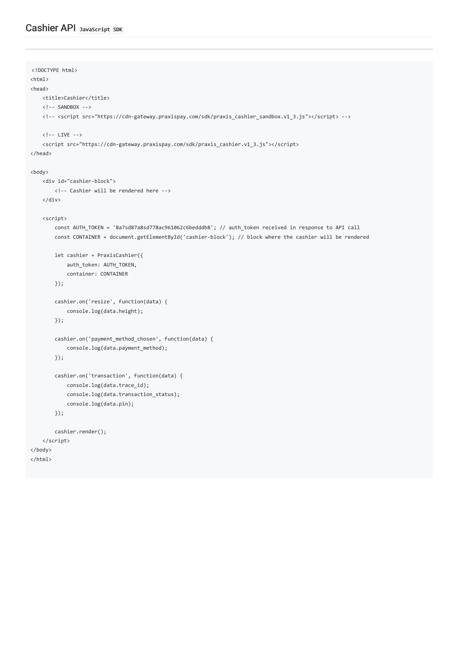```
<!DOCTYPE html>
<html>
<head>
   <title>Cashier</title>
   \langle!-- SANDBOX -->
   <!-- <script src="https://cdn-gateway.praxispay.com/sdk/praxis_cashier_sandbox.v1_3.js"></script> -->
   \langle!-- LIVE -->
   <script src="https://cdn-gateway.praxispay.com/sdk/praxis_cashier.v1_3.js"></script>
</head>
<body>
   <div id="cashier-block">
       <!-- Cashier will be rendered here -->
   </div>
    <script>
       const AUTH_TOKEN = '8a7sd87a8sd778ac961062c6bedddb8'; // auth_token received in response to API call
       const CONTAINER = document.getElementById('cashier-block'); // block where the cashier will be rendered
       let cashier = PraxisCashier({
           auth_token: AUTH_TOKEN,
           container: CONTAINER
       });
       cashier.on('resize', function(data) {
            console.log(data.height);
       });
        cashier.on('payment_method_chosen', function(data) {
            console.log(data.payment_method);
       });
       cashier.on('transaction', function(data) {
           console.log(data.trace_id);
           console.log(data.transaction_status);
           console.log(data.pin);
       });
       cashier.render();
   </script>
</body>
</html>
```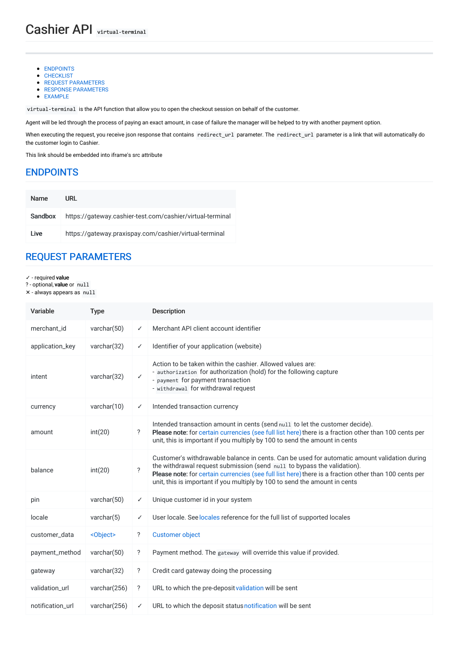- [ENDPOINTS](#page-16-0)
- CHECKLIST
- **REQUEST [PARAMETERS](#page-16-1)**
- RESPONSE [PARAMETERS](#page-17-0)
- [EXAMPLE](#page-17-1)

virtual-terminal is the API function that allow you to open the checkout session on behalf of the customer.

Agent will be led through the process of paying an exact amount, in case of failure the manager will be helped to try with another payment option.

When executing the request, you receive json response that contains redirect\_url parameter. The redirect\_url parameter is a link that will automatically do the customer login to Cashier.

This link should be embedded into iframe's src attribute

### <span id="page-16-0"></span>[ENDPOINTS](#page-16-0)

| <b>Name</b> | URL                                                       |
|-------------|-----------------------------------------------------------|
| Sandbox     | https://gateway.cashier-test.com/cashier/virtual-terminal |
| I ive       | https://gateway.praxispay.com/cashier/virtual-terminal    |

### <span id="page-16-1"></span>REQUEST [PARAMETERS](#page-16-1)

#### ✓ - required value

- ? optional, value or null
- ✕ always appears as null

| Variable         | <b>Type</b>       |                          | <b>Description</b>                                                                                                                                                                                                                                                                                                                                             |
|------------------|-------------------|--------------------------|----------------------------------------------------------------------------------------------------------------------------------------------------------------------------------------------------------------------------------------------------------------------------------------------------------------------------------------------------------------|
| merchant id      | varchar $(50)$    | ✓                        | Merchant API client account identifier                                                                                                                                                                                                                                                                                                                         |
| application_key  | varchar $(32)$    | ✓                        | Identifier of your application (website)                                                                                                                                                                                                                                                                                                                       |
| intent           | varchar(32)       | $\checkmark$             | Action to be taken within the cashier. Allowed values are:<br>- authorization for authorization (hold) for the following capture<br>- payment for payment transaction<br>- withdrawal for withdrawal request                                                                                                                                                   |
| currency         | varchar $(10)$    | ✓                        | Intended transaction currency                                                                                                                                                                                                                                                                                                                                  |
| amount           | int(20)           | ?                        | Intended transaction amount in cents (send null to let the customer decide).<br>Please note: for certain currencies (see full list here) there is a fraction other than 100 cents per<br>unit, this is important if you multiply by 100 to send the amount in cents                                                                                            |
| balance          | int(20)           | $\overline{\phantom{0}}$ | Customer's withdrawable balance in cents. Can be used for automatic amount validation during<br>the withdrawal request submission (send null to bypass the validation).<br>Please note: for certain currencies (see full list here) there is a fraction other than 100 cents per<br>unit, this is important if you multiply by 100 to send the amount in cents |
| pin              | varchar $(50)$    | ✓                        | Unique customer id in your system                                                                                                                                                                                                                                                                                                                              |
| locale           | varchar $(5)$     | ✓                        | User locale. See locales reference for the full list of supported locales                                                                                                                                                                                                                                                                                      |
| customer_data    | <object></object> | ?                        | <b>Customer object</b>                                                                                                                                                                                                                                                                                                                                         |
| payment_method   | varchar(50)       | $\ddot{?}$               | Payment method. The gateway will override this value if provided.                                                                                                                                                                                                                                                                                              |
| gateway          | varchar(32)       | ?                        | Credit card gateway doing the processing                                                                                                                                                                                                                                                                                                                       |
| validation_url   | varchar(256)      | ?                        | URL to which the pre-deposit validation will be sent                                                                                                                                                                                                                                                                                                           |
| notification url | varchar(256)      | ✓                        | URL to which the deposit status notification will be sent                                                                                                                                                                                                                                                                                                      |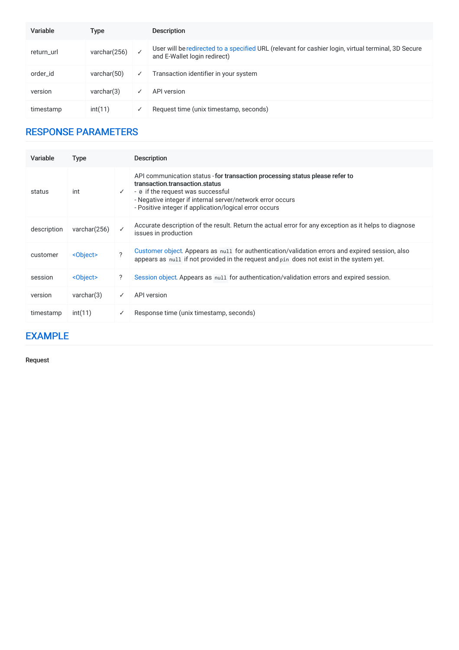| Variable   | Type           |              | <b>Description</b>                                                                                                                  |
|------------|----------------|--------------|-------------------------------------------------------------------------------------------------------------------------------------|
| return_url | varchar(256)   |              | User will be redirected to a specified URL (relevant for cashier login, virtual terminal, 3D Secure<br>and E-Wallet login redirect) |
| order id   | varchar $(50)$ | $\checkmark$ | Transaction identifier in your system                                                                                               |
| version    | varchar(3)     |              | API version                                                                                                                         |
| timestamp  | int(11)        |              | Request time (unix timestamp, seconds)                                                                                              |

# <span id="page-17-0"></span>RESPONSE [PARAMETERS](#page-17-0)

| Variable    | <b>Type</b>       |              | <b>Description</b>                                                                                                                                                                                                                                                          |
|-------------|-------------------|--------------|-----------------------------------------------------------------------------------------------------------------------------------------------------------------------------------------------------------------------------------------------------------------------------|
| status      | int               | $\checkmark$ | API communication status - for transaction processing status please refer to<br>transaction.transaction.status<br>- ø if the request was successful<br>- Negative integer if internal server/network error occurs<br>- Positive integer if application/logical error occurs |
| description | varchar(256)      | ✓            | Accurate description of the result. Return the actual error for any exception as it helps to diagnose<br>issues in production                                                                                                                                               |
| customer    | <object></object> | 2            | Customer object. Appears as null for authentication/validation errors and expired session, also<br>appears as null if not provided in the request and pin does not exist in the system yet.                                                                                 |
| session     | <object></object> | ?            | Session object. Appears as null for authentication/validation errors and expired session.                                                                                                                                                                                   |
| version     | varchar(3)        | ✓            | API version                                                                                                                                                                                                                                                                 |
| timestamp   | int(11)           | ✓            | Response time (unix timestamp, seconds)                                                                                                                                                                                                                                     |

# <span id="page-17-1"></span>[EXAMPLE](#page-17-1)

Request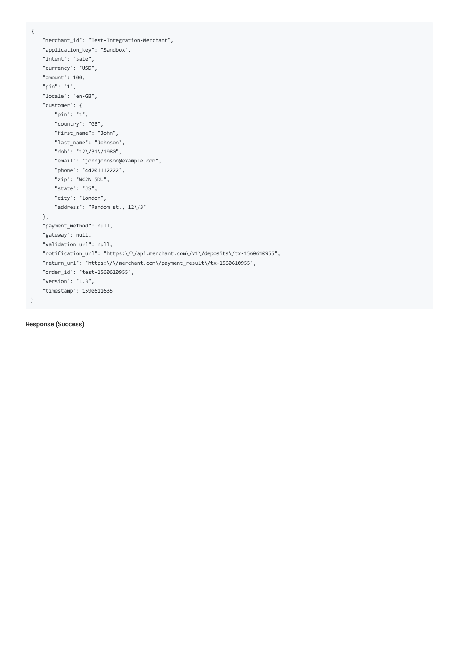{

```
"merchant_id": "Test-Integration-Merchant",
   "application_key": "Sandbox",
   "intent": "sale",
   "currency": "USD",
   "amount": 100,
   "pin": "1",
    "locale": "en-GB",
   "customer": {
       "pin": "1",
       "country": "GB",
       "first_name": "John",
       "last_name": "Johnson",
       "dob": "12\/31\/1980",
       "email": "johnjohnson@example.com",
       "phone": "44201112222",
       "zip": "WC2N 5DU",
       "state": "JS",
       "city": "London",
       "address": "Random st., 12\/3"
   },
   "payment_method": null,
   "gateway": null,
   "validation_url": null,
   "notification_url": "https:\/\/api.merchant.com\/v1\/deposits\/tx-1560610955",
   "return_url": "https:\/\/merchant.com\/payment_result\/tx-1560610955",
   "order_id": "test-1560610955",
   "version": "1.3",
   "timestamp": 1590611635
}
```
Response (Success)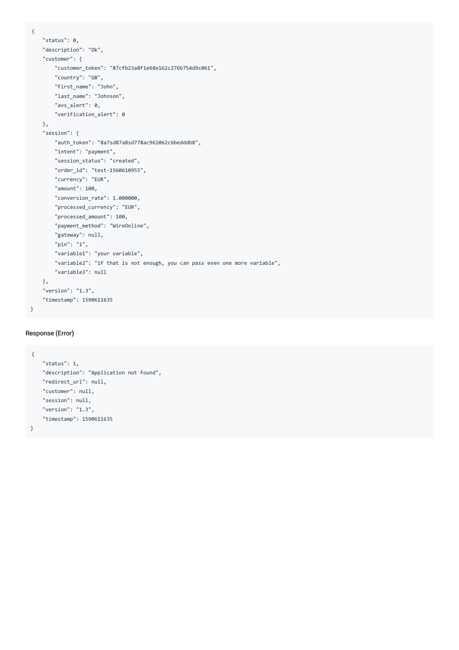```
{
   "status": 0,
   "description": "Ok",
   "customer": {
       "customer_token": "87cfb23a8f1e68e162c276b754d9c061",
       "country": "GB",
       "first_name": "John",
       "last_name": "Johnson",
       "avs_alert": 0,
       "verification_alert": 0
   },
    "session": {
       "auth_token": "8a7sd87a8sd778ac961062c6bedddb8",
       "intent": "payment",
       "session_status": "created",
       "order_id": "test-1560610955",
       "currency": "EUR",
       "amount": 100,
       "conversion_rate": 1.000000,
       "processed_currency": "EUR",
       "processed_amount": 100,
       "payment_method": "WireOnline",
       "gateway": null,
       "pin": "1",
       "variable1": "your variable",
       "variable2": "if that is not enough, you can pass even one more variable",
       "variable3": null
   },
   "version": "1.3",
   "timestamp": 1590611635
}
```
#### Response (Error)

```
{
   "status": 1,
   "description": "Application not found",
   "redirect_url": null,
   "customer": null,
   "session": null,
   "version": "1.3",
   "timestamp": 1590611635
}
```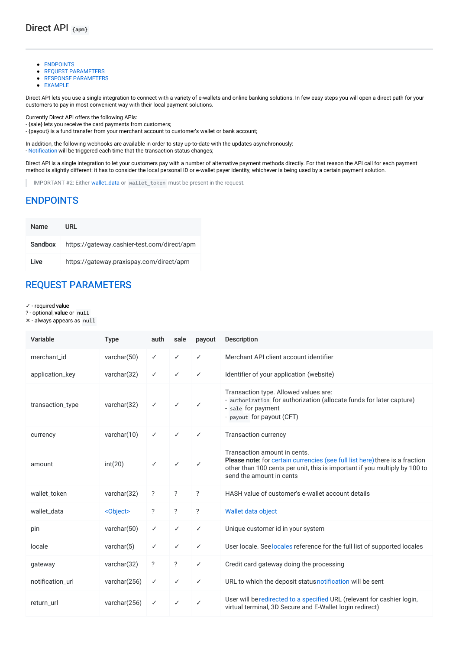- [ENDPOINTS](#page-20-0)
- **REQUEST [PARAMETERS](#page-20-1)**
- **RESPONSE [PARAMETERS](#page-21-0)**
- **[EXAMPLE](#page-21-1)**

Direct API lets you use a single integration to connect with a variety of e-wallets and online banking solutions. In few easy steps you will open a direct path for your customers to pay in most convenient way with their local payment solutions.

Currently Direct API offers the following APIs:

- {sale} lets you receive the card payments from customers;

- {payout} is a fund transfer from your merchant account to customer's wallet or bank account;

In addition, the following webhooks are available in order to stay up-to-date with the updates asynchronously: - [Notification](file:///integration_docs/latest/webhooks/notification) will be triggered each time that the transaction status changes;

Direct API is a single integration to let your customers pay with a number of alternative payment methods directly. For that reason the API call for each payment method is slightly different: it has to consider the local personal ID or e-wallet payer identity, whichever is being used by a certain payment solution.

IMPORTANT #2: Either [wallet\\_data](file:///integration_docs/latest/objects/wallet_data) or wallet token must be present in the request.

### <span id="page-20-0"></span>[ENDPOINTS](#page-20-0)

| <b>Name</b> | URL                                         |
|-------------|---------------------------------------------|
| Sandbox     | https://gateway.cashier-test.com/direct/apm |
| I ive       | https://gateway.praxispay.com/direct/apm    |

# <span id="page-20-1"></span>REQUEST [PARAMETERS](#page-20-1)

✓ - required value

? - optional, value or null

✕ - always appears as null

| Variable         | <b>Type</b>       | auth                     | sale                     | payout                   | <b>Description</b>                                                                                                                                                                                                     |
|------------------|-------------------|--------------------------|--------------------------|--------------------------|------------------------------------------------------------------------------------------------------------------------------------------------------------------------------------------------------------------------|
| merchant id      | varchar $(50)$    | ✓                        | ✓                        | ✓                        | Merchant API client account identifier                                                                                                                                                                                 |
| application_key  | varchar(32)       | ✓                        | ✓                        | ✓                        | Identifier of your application (website)                                                                                                                                                                               |
| transaction_type | varchar(32)       | ✓                        | ✓                        | $\checkmark$             | Transaction type. Allowed values are:<br>- authorization for authorization (allocate funds for later capture)<br>- sale for payment<br>- payout for payout (CFT)                                                       |
| currency         | varchar(10)       | ✓                        | ✓                        | ✓                        | <b>Transaction currency</b>                                                                                                                                                                                            |
| amount           | int(20)           | $\checkmark$             | ✓                        | $\checkmark$             | Transaction amount in cents.<br>Please note: for certain currencies (see full list here) there is a fraction<br>other than 100 cents per unit, this is important if you multiply by 100 to<br>send the amount in cents |
| wallet token     | varchar(32)       | $\overline{\phantom{a}}$ | $\overline{?}$           | $\overline{\phantom{0}}$ | HASH value of customer's e-wallet account details                                                                                                                                                                      |
| wallet data      | <object></object> | $\overline{\phantom{a}}$ | $\overline{\phantom{a}}$ | $\overline{\cdot}$       | Wallet data object                                                                                                                                                                                                     |
| pin              | varchar $(50)$    | ✓                        | ✓                        | ✓                        | Unique customer id in your system                                                                                                                                                                                      |
| locale           | varchar $(5)$     | ✓                        | ✓                        | ✓                        | User locale. See locales reference for the full list of supported locales                                                                                                                                              |
| gateway          | varchar(32)       | $\ddot{?}$               | $\ddot{?}$               | ✓                        | Credit card gateway doing the processing                                                                                                                                                                               |
| notification url | varchar(256)      | ✓                        | ✓                        | ✓                        | URL to which the deposit status notification will be sent                                                                                                                                                              |
| return_url       | varchar(256)      | ✓                        | ✓                        | $\checkmark$             | User will be redirected to a specified URL (relevant for cashier login,<br>virtual terminal, 3D Secure and E-Wallet login redirect)                                                                                    |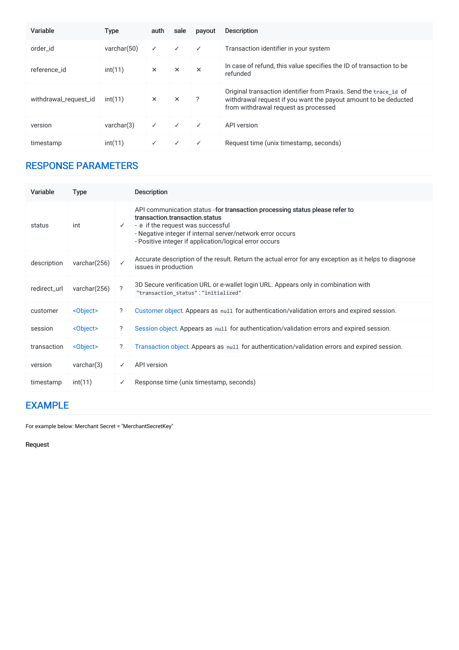| Variable              | <b>Type</b>    | auth         | sale     | payout   | <b>Description</b>                                                                                                                                                           |
|-----------------------|----------------|--------------|----------|----------|------------------------------------------------------------------------------------------------------------------------------------------------------------------------------|
| order id              | varchar $(50)$ | $\checkmark$ | ✓        | ✓        | Transaction identifier in your system                                                                                                                                        |
| reference id          | int(11)        | $\times$     | $\times$ | $\times$ | In case of refund, this value specifies the ID of transaction to be<br>refunded                                                                                              |
| withdrawal_request_id | int(11)        | $\times$     | $\times$ | ?        | Original transaction identifier from Praxis. Send the trace id of<br>withdrawal request if you want the payout amount to be deducted<br>from withdrawal request as processed |
| version               | varchar(3)     | $\checkmark$ | ✓        | ✓        | API version                                                                                                                                                                  |
| timestamp             | int(11)        | ✓            | ✓        | ✓        | Request time (unix timestamp, seconds)                                                                                                                                       |

# <span id="page-21-0"></span>RESPONSE [PARAMETERS](#page-21-0)

| Variable     | <b>Type</b>       |                            | <b>Description</b>                                                                                                                                                                                                                                                          |
|--------------|-------------------|----------------------------|-----------------------------------------------------------------------------------------------------------------------------------------------------------------------------------------------------------------------------------------------------------------------------|
| status       | int               | $\checkmark$               | API communication status - for transaction processing status please refer to<br>transaction.transaction.status<br>- ø if the request was successful<br>- Negative integer if internal server/network error occurs<br>- Positive integer if application/logical error occurs |
| description  | varchar(256)      | $\checkmark$               | Accurate description of the result. Return the actual error for any exception as it helps to diagnose<br>issues in production                                                                                                                                               |
| redirect url | varchar(256)      | $\boldsymbol{\mathcal{P}}$ | 3D Secure verification URL or e-wallet login URL. Appears only in combination with<br>"transaction status": "initialized"                                                                                                                                                   |
| customer     | <object></object> | ?                          | Customer object. Appears as null for authentication/validation errors and expired session.                                                                                                                                                                                  |
| session      | <object></object> | ?                          | Session object. Appears as null for authentication/validation errors and expired session.                                                                                                                                                                                   |
| transaction  | <object></object> | ?                          | Transaction object. Appears as null for authentication/validation errors and expired session.                                                                                                                                                                               |
| version      | varchar(3)        | $\checkmark$               | API version                                                                                                                                                                                                                                                                 |
| timestamp    | int(11)           | ✓                          | Response time (unix timestamp, seconds)                                                                                                                                                                                                                                     |

# <span id="page-21-1"></span>[EXAMPLE](#page-21-1)

For example below: Merchant Secret = "MerchantSecretKey"

Request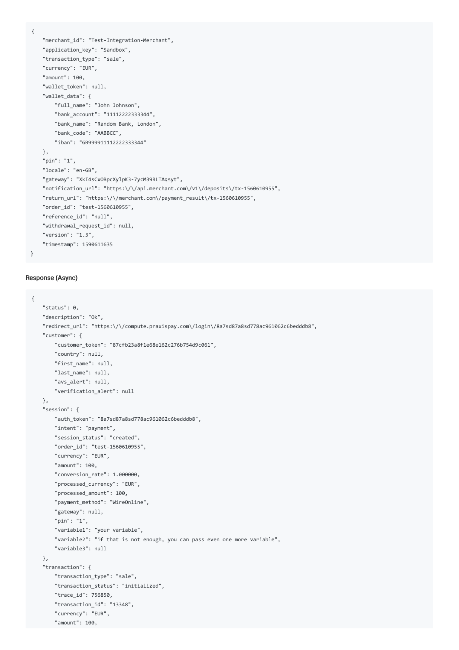{

```
"merchant_id": "Test-Integration-Merchant",
"application_key": "Sandbox",
"transaction_type": "sale",
"currency": "EUR",
"amount": 100,
"wallet_token": null,
"wallet data": {
    "full_name": "John Johnson",
   "bank_account": "11112222333344",
   "bank_name": "Random Bank, London",
   "bank_code": "AABBCC",
    "iban": "GB999911112222333344"
},
"pin": "1",
"locale": "en-GB",
"gateway": "XkI4sCxOBpcXylpK3-7ycM39RLTAqsyt",
"notification_url": "https:\/\/api.merchant.com\/v1\/deposits\/tx-1560610955",
"return_url": "https:\/\/merchant.com\/payment_result\/tx-1560610955",
"order_id": "test-1560610955",
"reference_id": "null",
"withdrawal_request_id": null,
"version": "1.3",
"timestamp": 1590611635
```
#### Response (Async)

```
{
   "status": 0,
   "description": "Ok",
   "redirect_url": "https:\/\/compute.praxispay.com\/login\/8a7sd87a8sd778ac961062c6bedddb8",
   "customer": {
       "customer_token": "87cfb23a8f1e68e162c276b754d9c061",
       "country": null,
       "first_name": null,
       "last_name": null,
       "avs_alert": null,
       "verification_alert": null
   },
   "session": {
       "auth_token": "8a7sd87a8sd778ac961062c6bedddb8",
       "intent": "payment",
       "session_status": "created",
       "order_id": "test-1560610955",
       "currency": "EUR",
       "amount": 100,
       "conversion_rate": 1.000000,
       "processed_currency": "EUR",
       "processed_amount": 100,
       "payment_method": "WireOnline",
       "gateway": null,
       "pin": "1",
       "variable1": "your variable",
       "variable2": "if that is not enough, you can pass even one more variable",
       "variable3": null
   },
    "transaction": {
       "transaction_type": "sale",
       "transaction_status": "initialized",
       "trace_id": 756850,
       "transaction_id": "13348",
       "currency": "EUR",
       "amount": 100,
```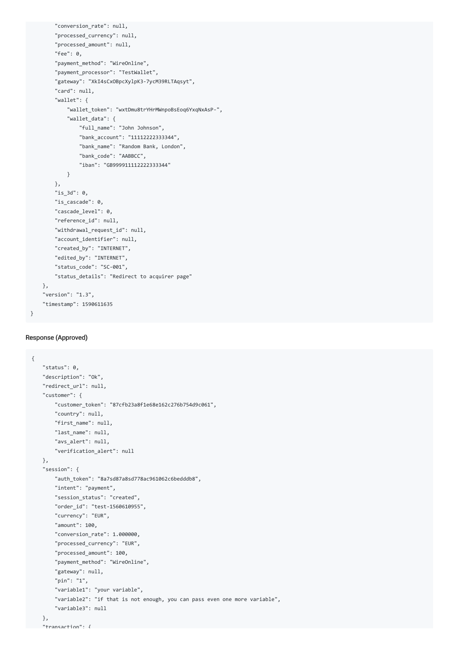```
"conversion rate": null,
    "processed_currency": null,
    "processed_amount": null,
    "fee": 0,
    "payment_method": "WireOnline",
    "payment_processor": "TestWallet",
    "gateway": "XkI4sCxOBpcXylpK3-7ycM39RLTAqsyt",
    "card": null,
    "wallet": {
        "wallet_token": "wxtDmu8trYHrMWnpoBsEoq6YxqNxAsP-",
        "wallet_data": {
           "full_name": "John Johnson",
           "bank_account": "11112222333344",
            "bank_name": "Random Bank, London",
            "bank_code": "AABBCC",
            "iban": "GB999911112222333344"
        }
    },
    "is_3d": 0,
    "is_cascade": 0,
    "cascade_level": 0,
    "reference_id": null,
    "withdrawal_request_id": null,
    "account_identifier": null,
    "created_by": "INTERNET",
    "edited_by": "INTERNET",
    "status_code": "SC-001",
    "status_details": "Redirect to acquirer page"
},
"version": "1.3",
"timestamp": 1590611635
```
#### Response (Approved)

```
{
   "status": 0,
   "description": "Ok",
   "redirect_url": null,
   "customer": {
       "customer_token": "87cfb23a8f1e68e162c276b754d9c061",
       "country": null,
       "first_name": null,
       "last_name": null,
       "avs_alert": null,
       "verification_alert": null
   },
   "session": {
       "auth_token": "8a7sd87a8sd778ac961062c6bedddb8",
       "intent": "payment",
       "session_status": "created",
       "order_id": "test-1560610955",
       "currency": "EUR",
       "amount": 100,
       "conversion_rate": 1.000000,
       "processed_currency": "EUR",
       "processed_amount": 100,
       "payment_method": "WireOnline",
       "gateway": null,
       "pin": "1",
       "variable1": "your variable",
       "variable2": "if that is not enough, you can pass even one more variable",
       "variable3": null
   },
   "transaction": {
```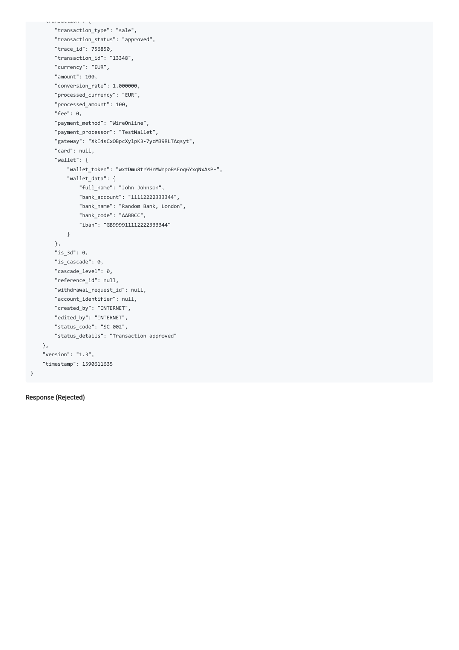```
"transaction_type": "sale",
   "transaction_status": "approved",
   "trace_id": 756850,
   "transaction_id": "13348",
   "currency": "EUR",
    "amount": 100,
    "conversion_rate": 1.000000,
    "processed_currency": "EUR",
    "processed_amount": 100,
   "fee": 0,
   "payment_method": "WireOnline",
   "payment_processor": "TestWallet",
    "gateway": "XkI4sCxOBpcXylpK3-7ycM39RLTAqsyt",
    "card": null,
    "wallet": {
        "wallet_token": "wxtDmu8trYHrMWnpoBsEoq6YxqNxAsP-",
        "wallet_data": {
           "full_name": "John Johnson",
           "bank_account": "11112222333344",
           "bank_name": "Random Bank, London",
           "bank_code": "AABBCC",
           "iban": "GB999911112222333344"
       }
   },
   "is_3d": 0,
   "is_cascade": 0,
   "cascade_level": 0,
   "reference_id": null,
   "withdrawal_request_id": null,
   "account_identifier": null,
   "created_by": "INTERNET",
   "edited_by": "INTERNET",
   "status_code": "SC-002",
   "status_details": "Transaction approved"
},
"version": "1.3",
"timestamp": 1590611635
```
Response (Rejected)

}

"transaction": {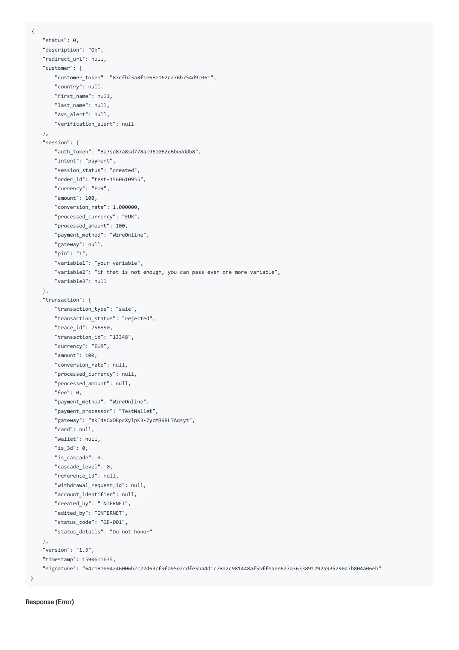```
"status": 0,
   "description": "Ok",
    "redirect_url": null,
    "customer": {
       "customer_token": "87cfb23a8f1e68e162c276b754d9c061",
        "country": null,
       "first_name": null,
       "last_name": null,
       "avs_alert": null,
       "verification_alert": null
   },
    "session": {
        "auth_token": "8a7sd87a8sd778ac961062c6bedddb8",
        "intent": "payment",
       "session_status": "created",
       "order_id": "test-1560610955",
       "currency": "EUR",
       "amount": 100,
       "conversion_rate": 1.000000,
        "processed_currency": "EUR",
        "processed_amount": 100,
       "payment_method": "WireOnline",
       "gateway": null,
       "pin": "1",
        "variable1": "your variable",
        "variable2": "if that is not enough, you can pass even one more variable",
        "variable3": null
   },
    "transaction": {
       "transaction_type": "sale",
       "transaction_status": "rejected",
        "trace_id": 756850,
        "transaction_id": "13348",
        "currency": "EUR",
        "amount": 100,
       "conversion_rate": null,
       "processed_currency": null,
       "processed_amount": null,
       "fee": 0,
        "payment_method": "WireOnline",
        "payment_processor": "TestWallet",
        "gateway": "XkI4sCxOBpcXylpK3-7ycM39RLTAqsyt",
        "card": null,
       "wallet": null,
       "is_3d": 0,
       "is cascade": 0,
       "cascade_level": 0,
        "reference_id": null,
        "withdrawal_request_id": null,
       "account_identifier": null,
       "created_by": "INTERNET",
       "edited_by": "INTERNET",
       "status_code": "GE-001",
        "status_details": "Do not honor"
    },
    "version": "1.3",
    "timestamp": 1590611635,
    "signature": "64c181094246006b2c22d63cf9fa95e2cdfe5ba4d1c78a2c981448af5bffeaee627a3633891292a935290a7b804a06eb"
}
```

```
Response (Error)
```
{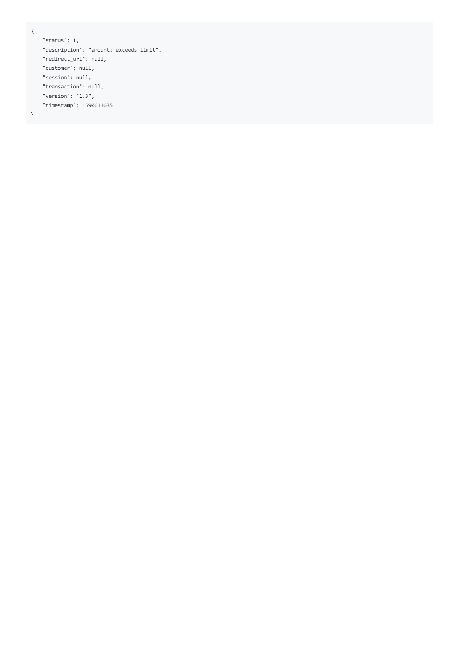```
{
```

```
"status": 1,
"description": "amount: exceeds limit",
"redirect_url": null,
"customer": null,
"session": null,
"transaction": null,
"version": "1.3",
"timestamp": 1590611635
```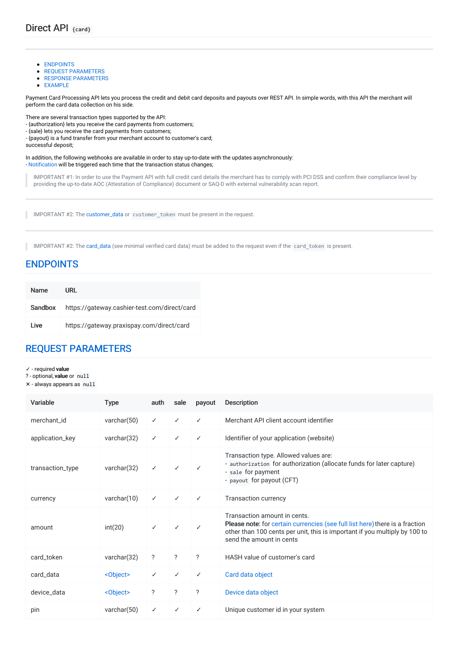- [ENDPOINTS](#page-27-0)
- **REQUEST [PARAMETERS](#page-27-1)**
- **RESPONSE [PARAMETERS](#page-28-0)**
- **[EXAMPLE](#page-28-1)**

Payment Card Processing API lets you process the credit and debit card deposits and payouts over REST API. In simple words, with this API the merchant will perform the card data collection on his side.

There are several transaction types supported by the API:

- {authorization} lets you receive the card payments from customers;
- {sale} lets you receive the card payments from customers;
- {payout} is a fund transfer from your merchant account to customer's card;

successful deposit;

In addition, the following webhooks are available in order to stay up-to-date with the updates asynchronously:

- [Notification](file:///integration_docs/latest/webhooks/notification) will be triggered each time that the transaction status changes;

IMPORTANT #1: In order to use the Payment API with full credit card details the merchant has to comply with PCI DSS and confirm their compliance level by providing the up-to-date AOC (Attestation of Compliance) document or SAQ-D with external vulnerability scan report.

IMPORTANT #2: The [customer\\_data](file:///integration_docs/latest/objects/customer_data) or customer\_token must be present in the request.

IMPORTANT #2: The [card\\_data](file:///integration_docs/latest/objects/card_data) (see minimal verified card data) must be added to the request even if the card\_token is present.

### <span id="page-27-0"></span>[ENDPOINTS](#page-27-0)

| <b>Name</b> | URL                                          |
|-------------|----------------------------------------------|
| Sandbox     | https://gateway.cashier-test.com/direct/card |
| I ive       | https://gateway.praxispay.com/direct/card    |

# <span id="page-27-1"></span>REQUEST [PARAMETERS](#page-27-1)

- ✓ required value
- ? optional, value or null
- ✕ always appears as null

| Variable         | <b>Type</b>       | auth         | sale         | payout                   | <b>Description</b>                                                                                                                                                                                                     |
|------------------|-------------------|--------------|--------------|--------------------------|------------------------------------------------------------------------------------------------------------------------------------------------------------------------------------------------------------------------|
| merchant id      | varchar $(50)$    | $\checkmark$ | ✓            | ✓                        | Merchant API client account identifier                                                                                                                                                                                 |
| application_key  | varchar(32)       | ✓            | ✓            | ✓                        | Identifier of your application (website)                                                                                                                                                                               |
| transaction_type | varchar(32)       | $\checkmark$ | ✓            | ✓                        | Transaction type. Allowed values are:<br>- authorization for authorization (allocate funds for later capture)<br>- sale for payment<br>- payout for payout (CFT)                                                       |
| currency         | varchar $(10)$    | $\checkmark$ | $\checkmark$ | $\checkmark$             | <b>Transaction currency</b>                                                                                                                                                                                            |
| amount           | int(20)           | $\checkmark$ | ✓            | ✓                        | Transaction amount in cents.<br>Please note: for certain currencies (see full list here) there is a fraction<br>other than 100 cents per unit, this is important if you multiply by 100 to<br>send the amount in cents |
| card_token       | varchar(32)       | ?            | ?            | $\overline{\phantom{a}}$ | HASH value of customer's card                                                                                                                                                                                          |
| card_data        | <object></object> | $\checkmark$ | $\checkmark$ | ✓                        | Card data object                                                                                                                                                                                                       |
| device_data      | <object></object> | ?            | ?            | $\overline{?}$           | Device data object                                                                                                                                                                                                     |
| pin              | varchar $(50)$    | ✓            | ✓            | ✓                        | Unique customer id in your system                                                                                                                                                                                      |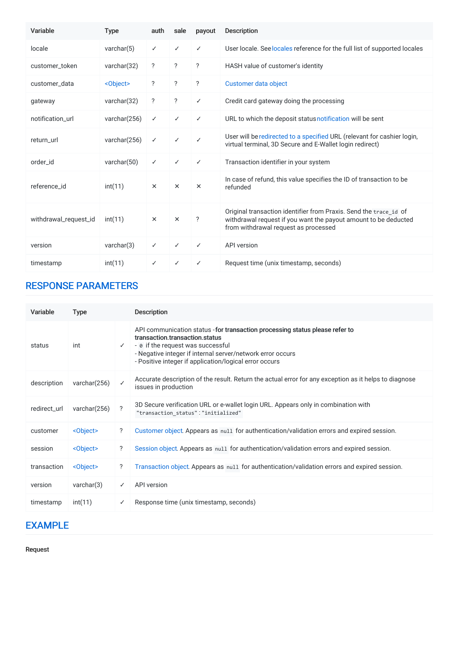| Variable              | <b>Type</b>       | auth           | sale                     | payout             | <b>Description</b>                                                                                                                                                           |
|-----------------------|-------------------|----------------|--------------------------|--------------------|------------------------------------------------------------------------------------------------------------------------------------------------------------------------------|
| locale                | varchar $(5)$     | $\checkmark$   | ✓                        | ✓                  | User locale. See locales reference for the full list of supported locales                                                                                                    |
| customer token        | varchar(32)       | ?              | ?                        | ?                  | HASH value of customer's identity                                                                                                                                            |
| customer data         | <object></object> | $\overline{?}$ | ?                        | $\overline{\cdot}$ | Customer data object                                                                                                                                                         |
| gateway               | varchar $(32)$    | ?              | $\overline{\phantom{a}}$ | ✓                  | Credit card gateway doing the processing                                                                                                                                     |
| notification_url      | varchar(256)      | $\checkmark$   | ✓                        | $\checkmark$       | URL to which the deposit status notification will be sent                                                                                                                    |
| return_url            | varchar(256)      | $\checkmark$   | ✓                        | $\checkmark$       | User will be redirected to a specified URL (relevant for cashier login,<br>virtual terminal, 3D Secure and E-Wallet login redirect)                                          |
| order id              | varchar(50)       | $\checkmark$   | ✓                        | $\checkmark$       | Transaction identifier in your system                                                                                                                                        |
| reference id          | int(11)           | $\times$       | $\times$                 | $\times$           | In case of refund, this value specifies the ID of transaction to be<br>refunded                                                                                              |
| withdrawal_request_id | int(11)           | $\times$       | $\times$                 | ?                  | Original transaction identifier from Praxis. Send the trace id of<br>withdrawal request if you want the payout amount to be deducted<br>from withdrawal request as processed |
| version               | varchar(3)        | $\checkmark$   | $\checkmark$             | ✓                  | <b>API</b> version                                                                                                                                                           |
| timestamp             | int(11)           | ✓              | ✓                        | ✓                  | Request time (unix timestamp, seconds)                                                                                                                                       |

# <span id="page-28-0"></span>RESPONSE [PARAMETERS](#page-28-0)

| Variable     | <b>Type</b>       |                            | <b>Description</b>                                                                                                                                                                                                                                                          |
|--------------|-------------------|----------------------------|-----------------------------------------------------------------------------------------------------------------------------------------------------------------------------------------------------------------------------------------------------------------------------|
| status       | int               | $\checkmark$               | API communication status - for transaction processing status please refer to<br>transaction transaction status<br>- ø if the request was successful<br>- Negative integer if internal server/network error occurs<br>- Positive integer if application/logical error occurs |
| description  | varchar $(256)$   | ✓                          | Accurate description of the result. Return the actual error for any exception as it helps to diagnose<br>issues in production                                                                                                                                               |
| redirect_url | varchar(256)      | $\boldsymbol{\mathcal{P}}$ | 3D Secure verification URL or e-wallet login URL. Appears only in combination with<br>"transaction status": "initialized"                                                                                                                                                   |
| customer     | <object></object> | ?                          | Customer object. Appears as null for authentication/validation errors and expired session.                                                                                                                                                                                  |
| session      | <object></object> | $\overline{?}$             | Session object. Appears as null for authentication/validation errors and expired session.                                                                                                                                                                                   |
| transaction  | <object></object> | ?                          | Transaction object. Appears as null for authentication/validation errors and expired session.                                                                                                                                                                               |
| version      | varchar(3)        | ✓                          | API version                                                                                                                                                                                                                                                                 |
| timestamp    | int(11)           | ✓                          | Response time (unix timestamp, seconds)                                                                                                                                                                                                                                     |

# <span id="page-28-1"></span>[EXAMPLE](#page-28-1)

Request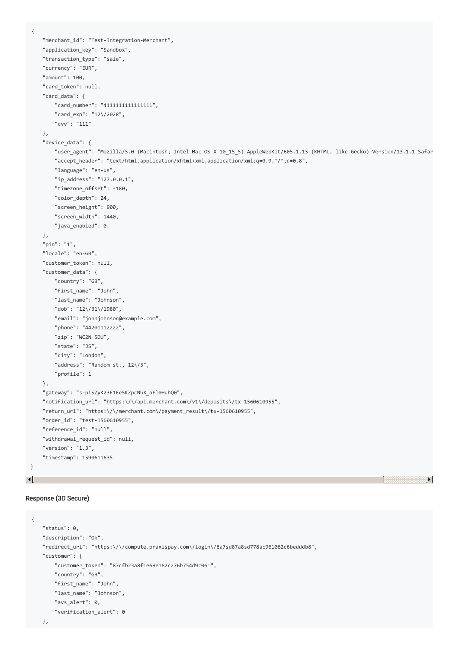{

```
"merchant_id": "Test-Integration-Merchant",
     "application_key": "Sandbox",
     "transaction_type": "sale",
     "currency": "EUR",
     "amount": 100,
     "card_token": null,
     "card_data": {
         "card_number": "4111111111111111",
         "card_exp": "12\/2028",
         "cvv": "111"
     },
     "device_data": {
         "user_agent": "Mozilla/5.0 (Macintosh; Intel Mac OS X 10_15_5) AppleWebKit/605.1.15 (KHTML, like Gecko) Version/13.1.1 Safar
         "accept header": "text/html,application/xhtml+xml,application/xml;q=0.9,*/*;q=0.8",
         "language": "en-us",
         "ip_address": "127.0.0.1",
         "timezone_offset": -180,
         "color depth": 24,
         "screen_height": 900,
         "screen_width": 1440,
         "java_enabled": 0
     },
     "pin": "1",
     "locale": "en-GB",
     "customer_token": null,
     "customer_data": {
         "country": "GB",
         "first_name": "John",
         "last_name": "Johnson",
         "dob": "12\/31\/1980",
         "email": "johnjohnson@example.com",
         "phone": "44201112222",
         "zip": "WC2N 5DU",
         "state": "JS",
         "city": "London",
         "address": "Random st., 12\/3",
         "profile": 1
     },
     "gateway": "s-pTSZyK23E1Ee5KZpcNbX_aFl0HuhQ0",
     "notification_url": "https:\/\/api.merchant.com\/v1\/deposits\/tx-1560610955",
     "return_url": "https:\/\/merchant.com\/payment_result\/tx-1560610955",
     "order_id": "test-1560610955",
     "reference_id": "null",
     "withdrawal_request_id": null,
     "version": "1.3",
     "timestamp": 1590611635
\left| \cdot \right|
```
#### Response (3D Secure)

"session": {

```
{
   "status": 0,
   "description": "Ok",
   "redirect_url": "https:\/\/compute.praxispay.com\/login\/8a7sd87a8sd778ac961062c6bedddb8",
   "customer": {
       "customer_token": "87cfb23a8f1e68e162c276b754d9c061",
       "country": "GB",
       "first_name": "John",
       "last_name": "Johnson",
       "avs_alert": 0,
       "verification_alert": 0
   },
```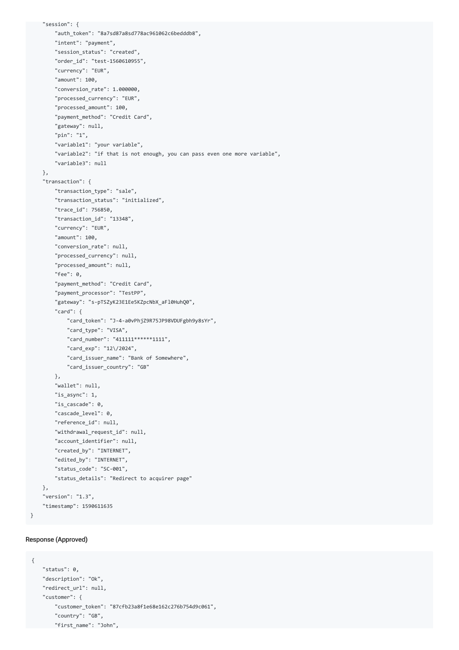```
"session": {
    "auth_token": "8a7sd87a8sd778ac961062c6bedddb8",
    "intent": "payment",
    "session_status": "created",
    "order_id": "test-1560610955",
    "currency": "EUR",
    "amount": 100,
    "conversion_rate": 1.000000,
    "processed_currency": "EUR",
    "processed_amount": 100,
    "payment_method": "Credit Card",
    "gateway": null,
    "pin": "1",
    "variable1": "your variable",
    "variable2": "if that is not enough, you can pass even one more variable",
    "variable3": null
},
"transaction": {
    "transaction_type": "sale",
    "transaction_status": "initialized",
    "trace_id": 756850,
    "transaction_id": "13348",
    "currency": "EUR",
    "amount": 100,
    "conversion_rate": null,
    "processed_currency": null,
    "processed_amount": null,
    "fee": 0,
    "payment_method": "Credit Card",
    "payment_processor": "TestPP",
    "gateway": "s-pTSZyK23E1Ee5KZpcNbX_aFl0HuhQ0",
    "card": {
        "card_token": "J-4-a0vPhjZ9R75JP98VDUFgbh9y8sYr",
        "card_type": "VISA",
       "card_number": "411111******1111",
       "card_exp": "12\/2024",
        "card_issuer_name": "Bank of Somewhere",
        "card_issuer_country": "GB"
    },
    "wallet": null,
    "is async": 1,
    "is_cascade": 0,
    "cascade_level": 0,
    "reference_id": null,
    "withdrawal_request_id": null,
    "account_identifier": null,
    "created_by": "INTERNET",
    "edited_by": "INTERNET",
    "status_code": "SC-001",
    "status_details": "Redirect to acquirer page"
},
"version": "1.3",
"timestamp": 1590611635
```

```
}
```
#### Response (Approved)

```
{
   "status": 0,
   "description": "Ok",
   "redirect_url": null,
   "customer": {
       "customer_token": "87cfb23a8f1e68e162c276b754d9c061",
       "country": "GB",
     "first_name": "John",
```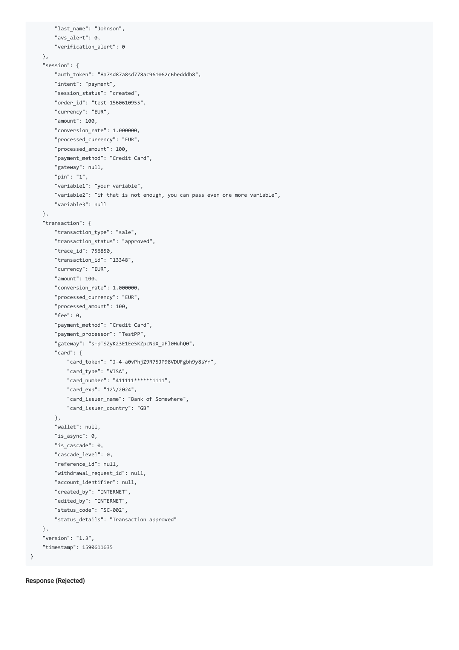```
"last_name": "Johnson",
        "avs_alert": 0,
        "verification_alert": 0
    },
    "session": {
        "auth_token": "8a7sd87a8sd778ac961062c6bedddb8",
        "intent": "payment",
        "session_status": "created",
        "order_id": "test-1560610955",
        "currency": "EUR",
        "amount": 100,
        "conversion_rate": 1.000000,
        "processed_currency": "EUR",
        "processed_amount": 100,
        "payment_method": "Credit Card",
        "gateway": null,
        "pin": "1",
        "variable1": "your variable",
        "variable2": "if that is not enough, you can pass even one more variable",
        "variable3": null
    },
    "transaction": {
        "transaction_type": "sale",
        "transaction_status": "approved",
        "trace_id": 756850,
        "transaction_id": "13348",
        "currency": "EUR",
        "amount": 100,
        "conversion_rate": 1.000000,
        "processed_currency": "EUR",
        "processed_amount": 100,
        "fee": 0,
        "payment_method": "Credit Card",
        "payment_processor": "TestPP",
        "gateway": "s-pTSZyK23E1Ee5KZpcNbX_aFl0HuhQ0",
        "card": {
            "card_token": "J-4-a0vPhjZ9R75JP98VDUFgbh9y8sYr",
            "card_type": "VISA",
            "card_number": "411111******1111",
            "card_exp": "12\/2024",
            "card_issuer_name": "Bank of Somewhere",
            "card_issuer_country": "GB"
        },
        "wallet": null,
        "is async": 0,
        "is_cascade": 0,
        "cascade_level": 0,
        "reference_id": null,
        "withdrawal_request_id": null,
        "account_identifier": null,
        "created_by": "INTERNET",
        "edited_by": "INTERNET",
        "status_code": "SC-002",
        "status_details": "Transaction approved"
    },
    "version": "1.3",
    "timestamp": 1590611635
}
```
Response (Rejected)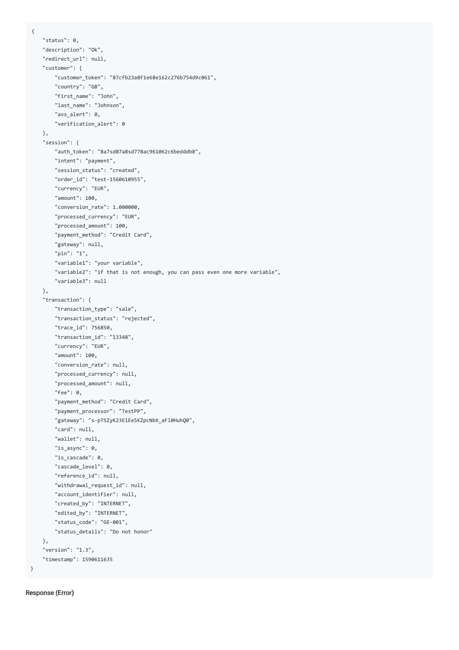```
{
    "status": 0,
   "description": "Ok",
    "redirect_url": null,
    "customer": {
       "customer_token": "87cfb23a8f1e68e162c276b754d9c061",
        "country": "GB",
       "first_name": "John",
       "last_name": "Johnson",
       "avs_alert": 0,
       "verification_alert": 0
   },
    "session": {
        "auth_token": "8a7sd87a8sd778ac961062c6bedddb8",
        "intent": "payment",
       "session_status": "created",
       "order_id": "test-1560610955",
       "currency": "EUR",
       "amount": 100,
       "conversion_rate": 1.000000,
        "processed_currency": "EUR",
        "processed_amount": 100,
       "payment_method": "Credit Card",
       "gateway": null,
       "pin": "1",
        "variable1": "your variable",
        "variable2": "if that is not enough, you can pass even one more variable",
        "variable3": null
   },
    "transaction": {
       "transaction_type": "sale",
       "transaction_status": "rejected",
        "trace_id": 756850,
        "transaction_id": "13348",
        "currency": "EUR",
        "amount": 100,
       "conversion_rate": null,
       "processed_currency": null,
       "processed_amount": null,
       "fee": 0,
        "payment_method": "Credit Card",
        "payment_processor": "TestPP",
        "gateway": "s-pTSZyK23E1Ee5KZpcNbX_aFl0HuhQ0",
        "card": null,
       "wallet": null,
       "is_async": 0,
       "is_cascade": 0,
       "cascade_level": 0,
        "reference_id": null,
        "withdrawal_request_id": null,
       "account_identifier": null,
       "created_by": "INTERNET",
       "edited_by": "INTERNET",
       "status_code": "GE-001",
        "status_details": "Do not honor"
   },
    "version": "1.3",
    "timestamp": 1590611635
}
```
Response (Error)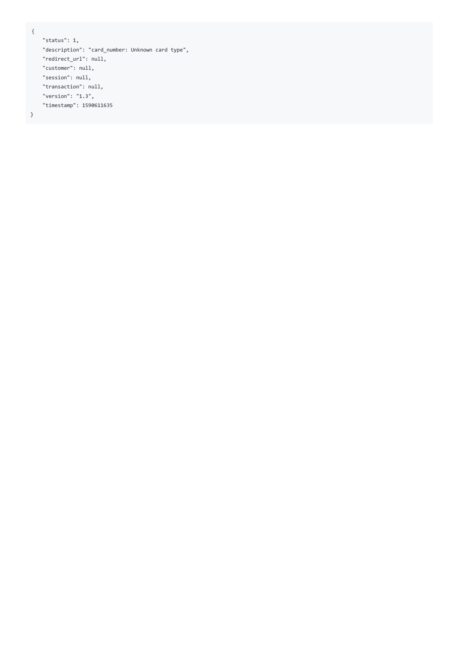{

```
"status": 1,
"description": "card_number: Unknown card type",
"redirect_url": null,
"customer": null,
"session": null,
"transaction": null,
"version": "1.3",
"timestamp": 1590611635
```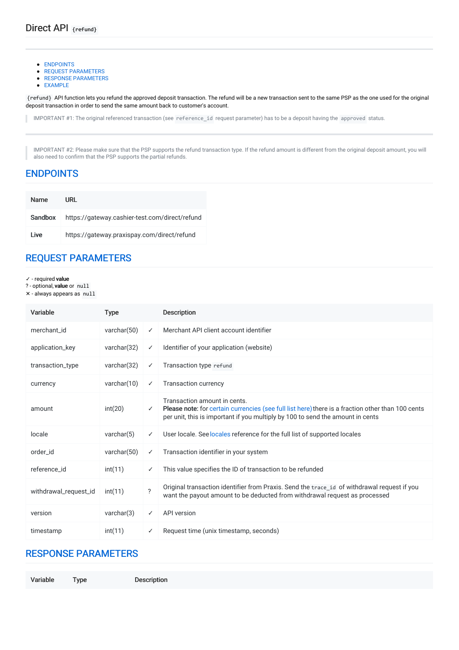- [ENDPOINTS](#page-34-0)
- **REQUEST [PARAMETERS](#page-34-1)**
- **RESPONSE [PARAMETERS](#page-34-2)**
- [EXAMPLE](#page-35-0)

{refund} API function lets you refund the approved deposit transaction. The refund will be a new transaction sent to the same PSP as the one used for the original deposit transaction in order to send the same amount back to customer's account.

IMPORTANT #1: The original referenced transaction (see reference\_id request parameter) has to be a deposit having the approved status.

IMPORTANT #2: Please make sure that the PSP supports the refund transaction type. If the refund amount is different from the original deposit amount, you will also need to confirm that the PSP supports the partial refunds.

### <span id="page-34-0"></span>[ENDPOINTS](#page-34-0)

| <b>Name</b> | URL                                            |
|-------------|------------------------------------------------|
| Sandbox     | https://gateway.cashier-test.com/direct/refund |
| I ive       | https://gateway.praxispay.com/direct/refund    |

# <span id="page-34-1"></span>REQUEST [PARAMETERS](#page-34-1)

- ✓ required value
- ? optional, value or null
- ✕ always appears as null

| Variable              | <b>Type</b>    |                          | <b>Description</b>                                                                                                                                                                                                  |
|-----------------------|----------------|--------------------------|---------------------------------------------------------------------------------------------------------------------------------------------------------------------------------------------------------------------|
| merchant id           | varchar $(50)$ | ✓                        | Merchant API client account identifier                                                                                                                                                                              |
| application_key       | varchar $(32)$ | $\checkmark$             | Identifier of your application (website)                                                                                                                                                                            |
| transaction_type      | varchar $(32)$ | ✓                        | Transaction type refund                                                                                                                                                                                             |
| currency              | varchar $(10)$ | ✓                        | <b>Transaction currency</b>                                                                                                                                                                                         |
| amount                | int(20)        | ✓                        | Transaction amount in cents.<br>Please note: for certain currencies (see full list here) there is a fraction other than 100 cents<br>per unit, this is important if you multiply by 100 to send the amount in cents |
| locale                | varchar(5)     | ✓                        | User locale. See locales reference for the full list of supported locales                                                                                                                                           |
| order id              | varchar $(50)$ | ✓                        | Transaction identifier in your system                                                                                                                                                                               |
| reference id          | int(11)        | ✓                        | This value specifies the ID of transaction to be refunded                                                                                                                                                           |
| withdrawal_request_id | int(11)        | $\overline{\phantom{0}}$ | Original transaction identifier from Praxis. Send the trace id of withdrawal request if you<br>want the payout amount to be deducted from withdrawal request as processed                                           |
| version               | varchar(3)     | ✓                        | API version                                                                                                                                                                                                         |
| timestamp             | int(11)        |                          | Request time (unix timestamp, seconds)                                                                                                                                                                              |

### <span id="page-34-2"></span>RESPONSE [PARAMETERS](#page-34-2)

Variable Type Description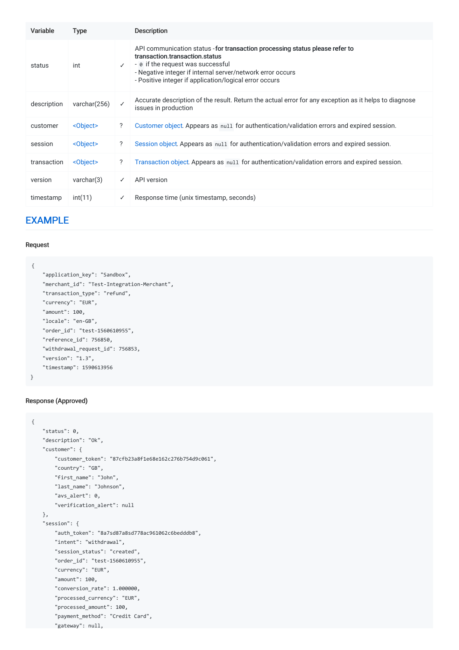| Variable    | <b>Type</b>       |   | <b>Description</b>                                                                                                                                                                                                                                                          |
|-------------|-------------------|---|-----------------------------------------------------------------------------------------------------------------------------------------------------------------------------------------------------------------------------------------------------------------------------|
| status      | int               | ✓ | API communication status - for transaction processing status please refer to<br>transaction.transaction.status<br>- 0 if the request was successful<br>- Negative integer if internal server/network error occurs<br>- Positive integer if application/logical error occurs |
| description | varchar (256)     | ✓ | Accurate description of the result. Return the actual error for any exception as it helps to diagnose<br>issues in production                                                                                                                                               |
| customer    | <object></object> | ? | Customer object. Appears as null for authentication/validation errors and expired session.                                                                                                                                                                                  |
| session     | <object></object> | ? | Session object. Appears as null for authentication/validation errors and expired session.                                                                                                                                                                                   |
| transaction | <object></object> | ? | Transaction object. Appears as null for authentication/validation errors and expired session.                                                                                                                                                                               |
| version     | varchar(3)        | ✓ | API version                                                                                                                                                                                                                                                                 |
| timestamp   | int(11)           | ✓ | Response time (unix timestamp, seconds)                                                                                                                                                                                                                                     |

### <span id="page-35-0"></span>[EXAMPLE](#page-35-0)

#### Request

```
{
   "application_key": "Sandbox",
   "merchant_id": "Test-Integration-Merchant",
   "transaction_type": "refund",
   "currency": "EUR",
    "amount": 100,
   "locale": "en-GB",
   "order_id": "test-1560610955",
   "reference_id": 756850,
   "withdrawal_request_id": 756853,
   "version": "1.3",
    "timestamp": 1590613956
}
```
#### Response (Approved)

```
{
   "status": 0,
   "description": "Ok",
    "customer": {
       "customer_token": "87cfb23a8f1e68e162c276b754d9c061",
       "country": "GB",
       "first_name": "John",
       "last_name": "Johnson",
       "avs_alert": 0,
       "verification_alert": null
   },
    "session": {
       "auth_token": "8a7sd87a8sd778ac961062c6bedddb8",
        "intent": "withdrawal",
       "session_status": "created",
       "order_id": "test-1560610955",
       "currency": "EUR",
       "amount": 100,
       "conversion_rate": 1.000000,
        "processed_currency": "EUR",
        "processed_amount": 100,
       "payment_method": "Credit Card",
       "gateway": null,
```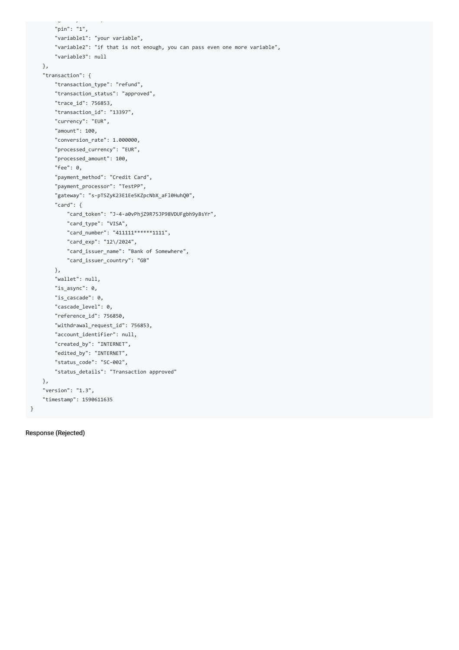```
"gateway": null,
    "pin": "1",
    "variable1": "your variable",
    "variable2": "if that is not enough, you can pass even one more variable",
    "variable3": null
},
"transaction": {
    "transaction_type": "refund",
    "transaction_status": "approved",
    "trace_id": 756853,
    "transaction_id": "13397",
    "currency": "EUR",
    "amount": 100,
    "conversion_rate": 1.000000,
    "processed_currency": "EUR",
    "processed_amount": 100,
    "fee": 0,
    "payment_method": "Credit Card",
    "payment_processor": "TestPP",
    "gateway": "s-pTSZyK23E1Ee5KZpcNbX_aFl0HuhQ0",
    "card": {
       "card_token": "J-4-a0vPhjZ9R75JP98VDUFgbh9y8sYr",
       "card_type": "VISA",
       "card_number": "411111******1111",
       "card_exp": "12\/2024",
        "card_issuer_name": "Bank of Somewhere",
        "card_issuer_country": "GB"
    },
    "wallet": null,
    "is async": 0,
    "is_cascade": 0,
    "cascade_level": 0,
    "reference_id": 756850,
    "withdrawal_request_id": 756853,
    "account_identifier": null,
    "created_by": "INTERNET",
   "edited_by": "INTERNET",
    "status_code": "SC-002",
    "status_details": "Transaction approved"
},
"version": "1.3",
"timestamp": 1590611635
```
#### Response (Rejected)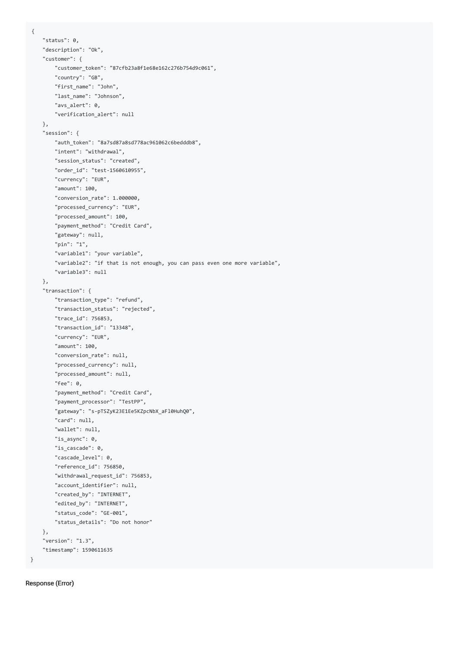```
{
    "status": 0,
   "description": "Ok",
    "customer": {
       "customer_token": "87cfb23a8f1e68e162c276b754d9c061",
       "country": "GB",
       "first_name": "John",
       "last_name": "Johnson",
       "avs_alert": 0,
       "verification_alert": null
   },
    "session": {
       "auth_token": "8a7sd87a8sd778ac961062c6bedddb8",
        "intent": "withdrawal",
        "session_status": "created",
       "order_id": "test-1560610955",
       "currency": "EUR",
       "amount": 100,
       "conversion_rate": 1.000000,
        "processed_currency": "EUR",
        "processed_amount": 100,
        "payment_method": "Credit Card",
        "gateway": null,
       "pin": "1",
       "variable1": "your variable",
       "variable2": "if that is not enough, you can pass even one more variable",
        "variable3": null
    },
    "transaction": {
        "transaction_type": "refund",
       "transaction_status": "rejected",
       "trace_id": 756853,
        "transaction_id": "13348",
        "currency": "EUR",
        "amount": 100,
        "conversion_rate": null,
       "processed_currency": null,
       "processed_amount": null,
       "fee": 0,
        "payment_method": "Credit Card",
        "payment_processor": "TestPP",
        "gateway": "s-pTSZyK23E1Ee5KZpcNbX_aFl0HuhQ0",
        "card": null,
        "wallet": null,
       "is_async": 0,
       "is_cascade": 0,
       "cascade_level": 0,
       "reference_id": 756850,
        "withdrawal_request_id": 756853,
        "account_identifier": null,
       "created_by": "INTERNET",
       "edited_by": "INTERNET",
       "status_code": "GE-001",
       "status_details": "Do not honor"
   },
    "version": "1.3",
    "timestamp": 1590611635
}
```
#### Response (Error)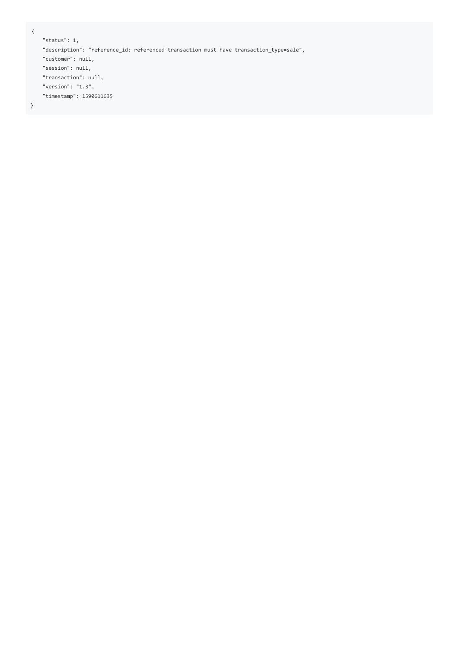```
{
```

```
"status": 1,
"description": "reference_id: referenced transaction must have transaction_type=sale",
"customer": null,
"session": null,
"transaction": null,
"version": "1.3",
"timestamp": 1590611635
```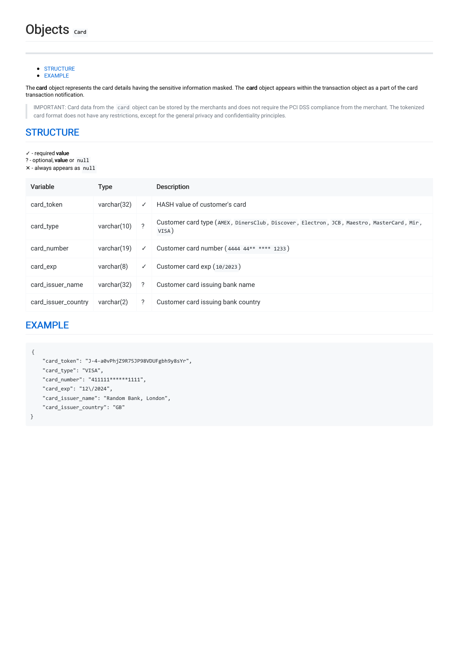- **[STRUCTURE](#page-39-0)**
- [EXAMPLE](#page-39-1)

The card object represents the card details having the sensitive information masked. The card object appears within the transaction object as a part of the card transaction notification.

IMPORTANT: Card data from the card object can be stored by the merchants and does not require the PCI DSS compliance from the merchant. The tokenized card format does not have any restrictions, except for the general privacy and confidentiality principles.

### <span id="page-39-0"></span>**[STRUCTURE](#page-39-0)**

- ✓ required value
- ? optional, value or null
- ✕ always appears as null

| Variable            | <b>Type</b>    |              | <b>Description</b>                                                                                |
|---------------------|----------------|--------------|---------------------------------------------------------------------------------------------------|
| card token          | varchar $(32)$ | $\checkmark$ | HASH value of customer's card                                                                     |
| card_type           | varchar $(10)$ | 2            | Customer card type (AMEX, DinersClub, Discover, Electron, JCB, Maestro, MasterCard, Mir,<br>VISA) |
| card number         | varchar $(19)$ | $\checkmark$ | Customer card number (4444 44** **** 1233)                                                        |
| card_exp            | varchar(8)     | $\checkmark$ | Customer card exp (10/2023)                                                                       |
| card_issuer_name    | varchar $(32)$ | ?            | Customer card issuing bank name                                                                   |
| card_issuer_country | varchar(2)     | ?            | Customer card issuing bank country                                                                |

### <span id="page-39-1"></span>[EXAMPLE](#page-39-1)

```
{
   "card_token": "J-4-a0vPhjZ9R75JP98VDUFgbh9y8sYr",
   "card_type": "VISA",
   "card_number": "411111******1111",
   "card_exp": "12\/2024",
   "card_issuer_name": "Random Bank, London",
   "card_issuer_country": "GB"
```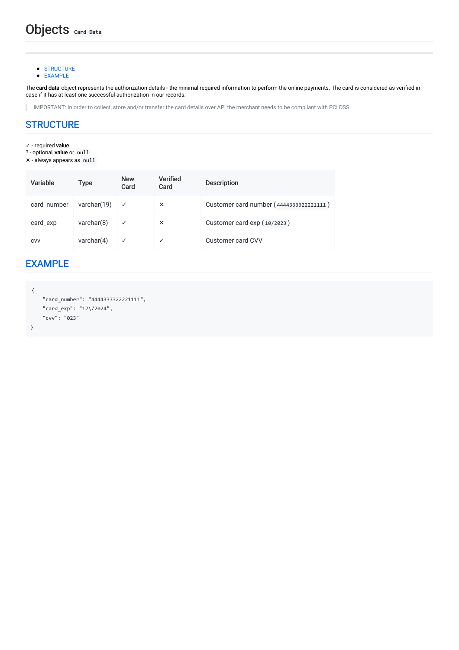**[STRUCTURE](#page-40-0)** [EXAMPLE](#page-40-1)

The card data object represents the authorization details - the minimal required information to perform the online payments. The card is considered as verified in case if it has at least one successful authorization in our records.

IMPORTANT: In order to collect, store and/or transfer the card details over API the merchant needs to be compliant with PCI DSS.

### <span id="page-40-0"></span>**[STRUCTURE](#page-40-0)**

- ✓ required value
- ? optional, value or null
- ✕ always appears as null

| Variable    | Type           | <b>New</b><br>Card | <b>Verified</b><br>Card | <b>Description</b>                      |
|-------------|----------------|--------------------|-------------------------|-----------------------------------------|
| card_number | varchar $(19)$ | $\checkmark$       | $\times$                | Customer card number (4444333322221111) |
| card_exp    | varchar(8)     | $\checkmark$       | $\times$                | Customer card exp (10/2023)             |
| <b>CVV</b>  | varchar $(4)$  | ✓                  |                         | Customer card CVV                       |

### <span id="page-40-1"></span>[EXAMPLE](#page-40-1)

```
{
    "card_number": "4444333322221111",
   "card_exp": "12\/2024",
   "cvv": "023"
}
```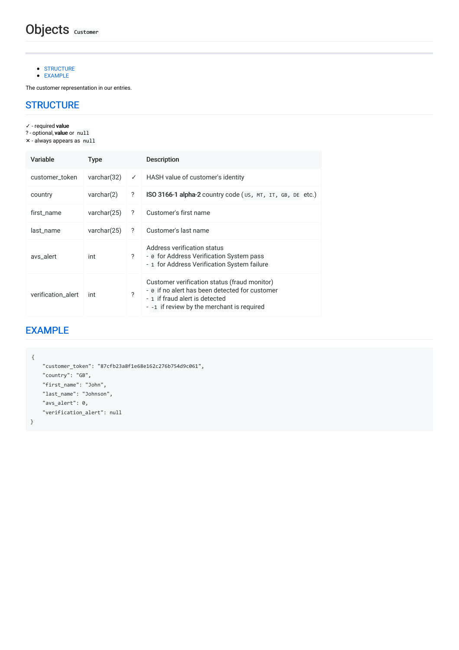[EXAMPLE](#page-41-1)

The customer representation in our entries.

### <span id="page-41-0"></span>**[STRUCTURE](#page-41-0)**

✓ - required value

- ? optional, value or null
- ✕ always appears as null

| Variable           | Type           |                | <b>Description</b>                                                                                                                                                             |
|--------------------|----------------|----------------|--------------------------------------------------------------------------------------------------------------------------------------------------------------------------------|
| customer token     | varchar $(32)$ | ✓              | HASH value of customer's identity                                                                                                                                              |
| country            | varchar(2)     | ?              | ISO 3166-1 alpha-2 country code (us, MT, IT, GB, DE etc.)                                                                                                                      |
| first_name         | varchar $(25)$ | ?              | Customer's first name                                                                                                                                                          |
| last name          | varchar(25)    | ?              | Customer's last name                                                                                                                                                           |
| avs_alert          | int            | $\overline{?}$ | Address verification status<br>- ø for Address Verification System pass<br>- 1 for Address Verification System failure                                                         |
| verification alert | int            | ?              | Customer verification status (fraud monitor)<br>- ø if no alert has been detected for customer<br>- 1 if fraud alert is detected<br>- -1 if review by the merchant is required |

# <span id="page-41-1"></span>[EXAMPLE](#page-41-1)

```
{
   "customer_token": "87cfb23a8f1e68e162c276b754d9c061",
   "country": "GB",
   "first_name": "John",
   "last_name": "Johnson",
   "avs_alert": 0,
   "verification_alert": null
```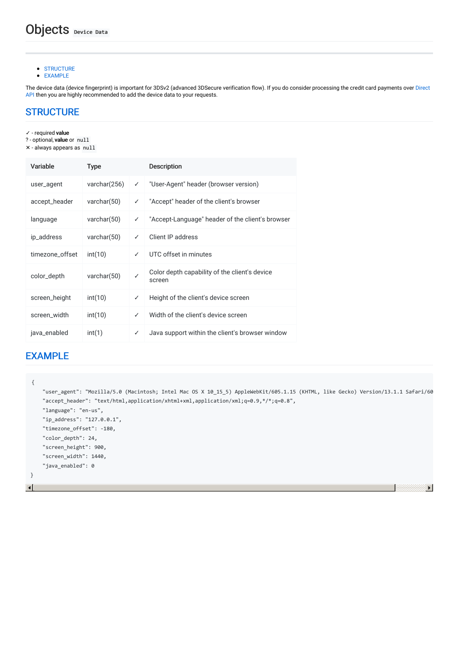- **[STRUCTURE](#page-42-0)**
- [EXAMPLE](#page-42-1)

The device data (device fingerprint) is important for 3DSv2 (advanced 3DSecure verification flow). If you do consider processing the credit card payments over Direct API then you are highly [recommended](file:///integration_docs/latest/direct_api/card) to add the device data to your requests.

### <span id="page-42-0"></span>**[STRUCTURE](#page-42-0)**

- ✓ required value
- ? optional, value or null
- ✕ always appears as null

| Variable        | <b>Type</b>    |              | <b>Description</b>                                      |
|-----------------|----------------|--------------|---------------------------------------------------------|
| user_agent      | varchar(256)   | ✓            | "User-Agent" header (browser version)                   |
| accept_header   | varchar $(50)$ | ✓            | "Accept" header of the client's browser                 |
| language        | varchar $(50)$ | ✓            | "Accept-Language" header of the client's browser        |
| ip_address      | varchar $(50)$ | ✓            | Client IP address                                       |
| timezone_offset | int(10)        | ✓            | UTC offset in minutes                                   |
| color_depth     | varchar $(50)$ | $\checkmark$ | Color depth capability of the client's device<br>screen |
| screen_height   | int(10)        | ✓            | Height of the client's device screen                    |
| screen_width    | int(10)        | ✓            | Width of the client's device screen                     |
| java_enabled    | int(1)         | ✓            | Java support within the client's browser window         |

### <span id="page-42-1"></span>[EXAMPLE](#page-42-1)

```
{
     "user_agent": "Mozilla/5.0 (Macintosh; Intel Mac OS X 10_15_5) AppleWebKit/605.1.15 (KHTML, like Gecko) Version/13.1.1 Safari/605.1.15",
     "accept_header": "text/html,application/xhtml+xml,application/xml;q=0.9,*/*;q=0.8",
     "language": "en-us",
     "ip_address": "127.0.0.1",
     "timezone_offset": -180,
     "color_depth": 24,
     "screen_height": 900,
     "screen_width": 1440,
     "java_enabled": 0
 }\vert \cdot \vert▶│
```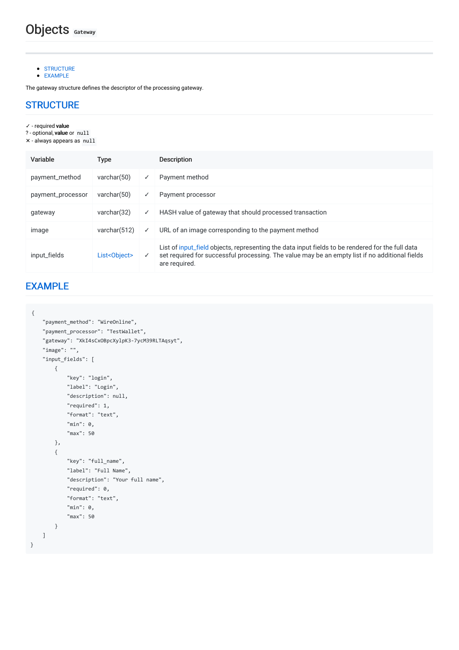[EXAMPLE](#page-43-1)

The gateway structure defines the descriptor of the processing gateway.

### <span id="page-43-0"></span>**[STRUCTURE](#page-43-0)**

- ✓ required value
- ? optional, value or null
- ✕ always appears as null

| Variable          | <b>Type</b>    |   | <b>Description</b>                                                                                                                                                                                                  |  |  |  |
|-------------------|----------------|---|---------------------------------------------------------------------------------------------------------------------------------------------------------------------------------------------------------------------|--|--|--|
| payment_method    | varchar $(50)$ |   | Payment method                                                                                                                                                                                                      |  |  |  |
| payment_processor | varchar $(50)$ | ✓ | Payment processor                                                                                                                                                                                                   |  |  |  |
| gateway           | varchar $(32)$ | ✓ | HASH value of gateway that should processed transaction                                                                                                                                                             |  |  |  |
| image             | varchar(512)   | ✓ | URL of an image corresponding to the payment method                                                                                                                                                                 |  |  |  |
| input_fields      | List<0bject>   | ✓ | List of input_field objects, representing the data input fields to be rendered for the full data<br>set required for successful processing. The value may be an empty list if no additional fields<br>are required. |  |  |  |

# <span id="page-43-1"></span>[EXAMPLE](#page-43-1)

```
{
```

```
"payment_method": "WireOnline",
"payment_processor": "TestWallet",
"gateway": "XkI4sCxOBpcXylpK3-7ycM39RLTAqsyt",
"image": "",
"input_fields": [
   {
       "key": "login",
       "label": "Login",
       "description": null,
       "required": 1,
       "format": "text",
       "min": 0,
       "max": 50
   },
    {
       "key": "full_name",
       "label": "Full Name",
       "description": "Your full name",
        "required": 0,
        "format": "text",
        "min": 0,
        "max": 50
   }
]
```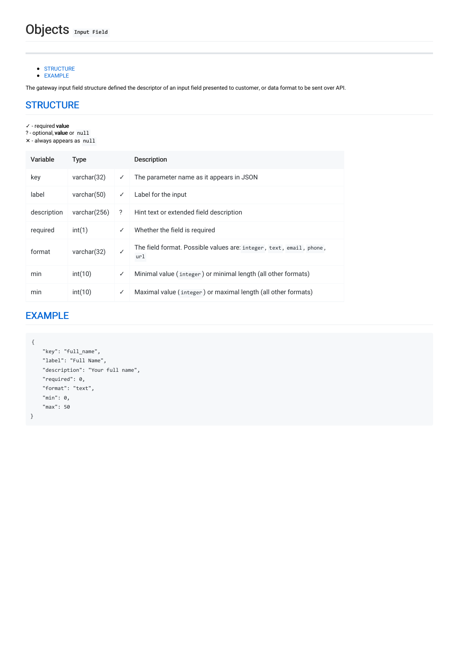[EXAMPLE](#page-44-1)

The gateway input field structure defined the descriptor of an input field presented to customer, or data format to be sent over API.

### <span id="page-44-0"></span>**[STRUCTURE](#page-44-0)**

- ✓ required value
- ? optional, value or null
- ✕ always appears as null

| Variable    | <b>Type</b>     |              | <b>Description</b>                                                         |
|-------------|-----------------|--------------|----------------------------------------------------------------------------|
| key         | varchar(32)     | ✓            | The parameter name as it appears in JSON                                   |
| label       | varchar $(50)$  | ✓            | Label for the input                                                        |
| description | varchar $(256)$ | ?            | Hint text or extended field description                                    |
| required    | int(1)          | ✓            | Whether the field is required                                              |
| format      | varchar $(32)$  | $\checkmark$ | The field format. Possible values are: integer, text, email, phone,<br>url |
| min         | int(10)         | ✓            | Minimal value (integer) or minimal length (all other formats)              |
| min         | int(10)         | ✓            | Maximal value (integer) or maximal length (all other formats)              |

# <span id="page-44-1"></span>[EXAMPLE](#page-44-1)

```
{
   "key": "full_name",
   "label": "Full Name",
   "description": "Your full name",
   "required": 0,
   "format": "text",
   "min": 0,
   "max": 50
}
```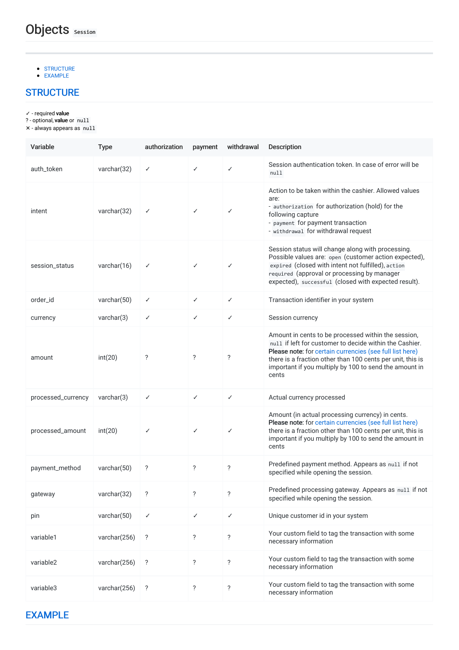#### [EXAMPLE](#page-45-1)

# <span id="page-45-0"></span>**[STRUCTURE](#page-45-0)**

- ✓ required value
- ? optional, **value** or null
- ✕ always appears as null

<span id="page-45-1"></span>

| Variable           | <b>Type</b>    | authorization      | payment                  | withdrawal   | <b>Description</b>                                                                                                                                                                                                                                                                                          |
|--------------------|----------------|--------------------|--------------------------|--------------|-------------------------------------------------------------------------------------------------------------------------------------------------------------------------------------------------------------------------------------------------------------------------------------------------------------|
| auth_token         | varchar(32)    | ✓                  | ✓                        | ✓            | Session authentication token. In case of error will be<br>null                                                                                                                                                                                                                                              |
| intent             | varchar(32)    | ✓                  | ✓                        | $\checkmark$ | Action to be taken within the cashier. Allowed values<br>are:<br>- authorization for authorization (hold) for the<br>following capture<br>- payment for payment transaction<br>- withdrawal for withdrawal request                                                                                          |
| session_status     | varchar $(16)$ | ✓                  | ✓                        | $\checkmark$ | Session status will change along with processing.<br>Possible values are: open (customer action expected),<br>expired (closed with intent not fulfilled), action<br>required (approval or processing by manager<br>expected), successful (closed with expected result).                                     |
| order id           | varchar $(50)$ | ✓                  | $\checkmark$             | $\checkmark$ | Transaction identifier in your system                                                                                                                                                                                                                                                                       |
| currency           | varchar(3)     | ✓                  | ✓                        | $\checkmark$ | Session currency                                                                                                                                                                                                                                                                                            |
| amount             | int(20)        | ?                  | ?                        | ?            | Amount in cents to be processed within the session,<br>null if left for customer to decide within the Cashier.<br>Please note: for certain currencies (see full list here)<br>there is a fraction other than 100 cents per unit, this is<br>important if you multiply by 100 to send the amount in<br>cents |
| processed_currency | varchar(3)     | ✓                  | $\checkmark$             | $\checkmark$ | Actual currency processed                                                                                                                                                                                                                                                                                   |
| processed_amount   | int(20)        | ✓                  | $\checkmark$             | $\checkmark$ | Amount (in actual processing currency) in cents.<br>Please note: for certain currencies (see full list here)<br>there is a fraction other than 100 cents per unit, this is<br>important if you multiply by 100 to send the amount in<br>cents                                                               |
| payment_method     | varchar $(50)$ | ?                  | ?                        | ?            | Predefined payment method. Appears as null if not<br>specified while opening the session.                                                                                                                                                                                                                   |
| gateway            | varchar(32)    | $\overline{\cdot}$ | $\overline{\phantom{a}}$ | $\ddot{?}$   | Predefined processing gateway. Appears as null if not<br>specified while opening the session.                                                                                                                                                                                                               |
| pin                | varchar(50)    | ✓                  | ✓                        | $\checkmark$ | Unique customer id in your system                                                                                                                                                                                                                                                                           |
| variable1          | varchar(256)   | ?                  | ?                        | ?            | Your custom field to tag the transaction with some<br>necessary information                                                                                                                                                                                                                                 |
| variable2          | varchar(256)   | ?                  | ?                        | $\ddot{?}$   | Your custom field to tag the transaction with some<br>necessary information                                                                                                                                                                                                                                 |
| variable3          | varchar(256)   | ?                  | ?                        | ?            | Your custom field to tag the transaction with some<br>necessary information                                                                                                                                                                                                                                 |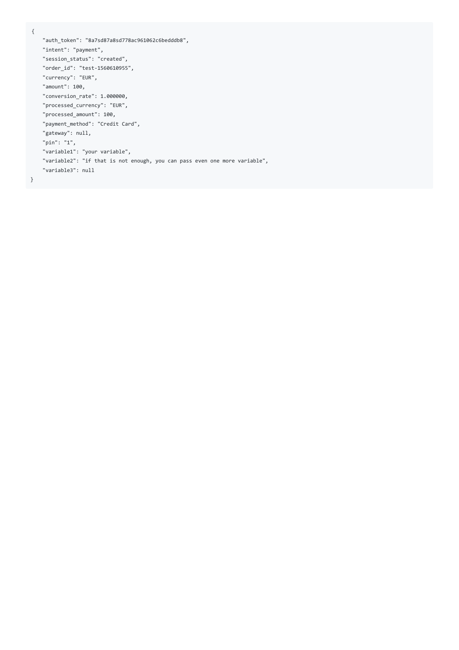```
{
```

```
"auth_token": "8a7sd87a8sd778ac961062c6bedddb8",
"intent": "payment",
"session_status": "created",
"order_id": "test-1560610955",
"currency": "EUR",
"amount": 100,
"conversion_rate": 1.000000,
"processed_currency": "EUR",
"processed_amount": 100,
"payment_method": "Credit Card",
"gateway": null,
"pin": "1",
"variable1": "your variable",
"variable2": "if that is not enough, you can pass even one more variable",
"variable3": null
```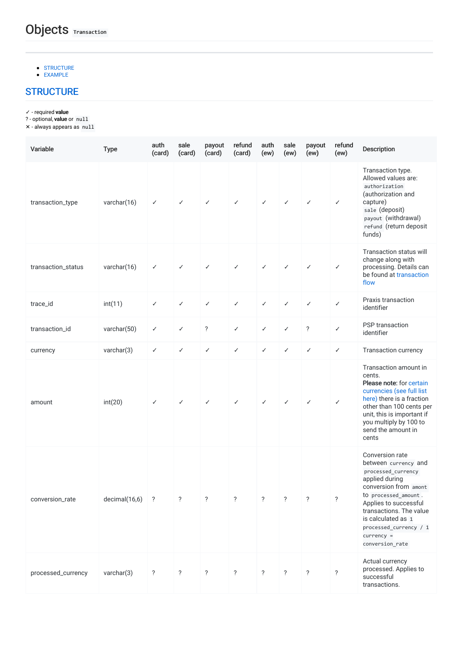- **[STRUCTURE](#page-47-0)**
- <span id="page-47-0"></span>[EXAMPLE](#page-49-0)

✓ - required value

? - optional, **value** or null

✕ - always appears as null

| Variable           | <b>Type</b>   | auth<br>(card) | sale<br>(card) | payout<br>(card)   | refund<br>(card)   | auth<br>(ew) | sale<br>(ew)   | payout<br>(ew)     | refund<br>(ew)     | Description                                                                                                                                                                                                                                                          |
|--------------------|---------------|----------------|----------------|--------------------|--------------------|--------------|----------------|--------------------|--------------------|----------------------------------------------------------------------------------------------------------------------------------------------------------------------------------------------------------------------------------------------------------------------|
| transaction_type   | varchar(16)   | $\checkmark$   | $\checkmark$   | ✓                  | $\checkmark$       | $\checkmark$ | $\checkmark$   | $\checkmark$       | $\checkmark$       | Transaction type.<br>Allowed values are:<br>authorization<br>(authorization and<br>capture)<br>sale (deposit)<br>payout (withdrawal)<br>refund (return deposit<br>funds)                                                                                             |
| transaction_status | varchar(16)   | $\checkmark$   | $\checkmark$   | ✓                  | ✓                  | ✓            | $\checkmark$   | ✓                  | $\checkmark$       | Transaction status will<br>change along with<br>processing. Details can<br>be found at transaction<br>flow                                                                                                                                                           |
| trace_id           | int(11)       | $\checkmark$   | $\checkmark$   | ✓                  | $\checkmark$       | $\checkmark$ | ✓              | $\checkmark$       | $\checkmark$       | Praxis transaction<br>identifier                                                                                                                                                                                                                                     |
| transaction_id     | varchar(50)   | $\checkmark$   | $\checkmark$   | $\overline{\cdot}$ | $\checkmark$       | ✓            | $\checkmark$   | $\ddot{?}$         | $\checkmark$       | PSP transaction<br>identifier                                                                                                                                                                                                                                        |
| currency           | varchar(3)    | $\checkmark$   | $\checkmark$   | $\checkmark$       | $\checkmark$       | $\checkmark$ | $\checkmark$   | $\checkmark$       | $\checkmark$       | Transaction currency                                                                                                                                                                                                                                                 |
| amount             | int(20)       | $\checkmark$   | $\checkmark$   | ✓                  | ✓                  | ✓            | $\checkmark$   | $\checkmark$       | $\checkmark$       | Transaction amount in<br>cents.<br>Please note: for certain<br>currencies (see full list<br>here) there is a fraction<br>other than 100 cents per<br>unit, this is important if<br>you multiply by 100 to<br>send the amount in<br>cents                             |
| conversion_rate    | decimal(16,6) | ?              | ?              | ?                  | ?                  | ?            | ?              | ?                  | $\overline{?}$     | Conversion rate<br>between currency and<br>processed_currency<br>applied during<br>conversion from amont<br>to processed_amount.<br>Applies to successful<br>transactions. The value<br>is calculated as 1<br>processed_currency / 1<br>$curve$ =<br>conversion_rate |
| processed_currency | varchar(3)    | $\ddot{?}$     | $\ddot{?}$     | $\ddot{?}$         | $\overline{\cdot}$ | $\ddot{?}$   | $\overline{?}$ | $\overline{\cdot}$ | $\overline{\cdot}$ | Actual currency<br>processed. Applies to<br>successful<br>transactions.                                                                                                                                                                                              |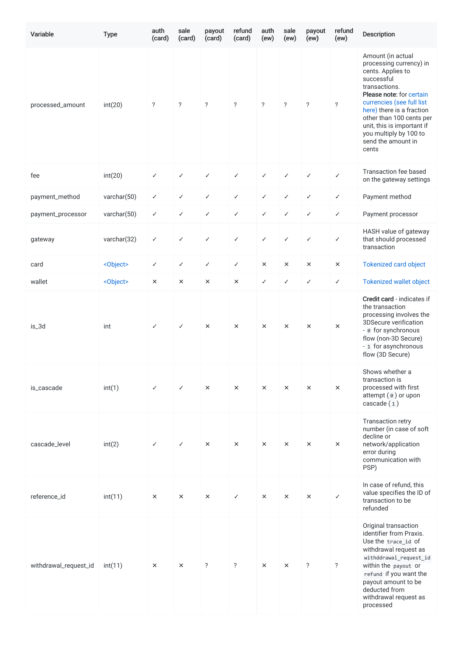| Variable              | <b>Type</b>       | auth<br>(card) | sale<br>(card) | payout<br>(card)         | refund<br>(card)   | auth<br>(ew)       | sale<br>(ew)       | payout<br>(ew)     | refund<br>(ew) | Description                                                                                                                                                                                                                                                                                               |
|-----------------------|-------------------|----------------|----------------|--------------------------|--------------------|--------------------|--------------------|--------------------|----------------|-----------------------------------------------------------------------------------------------------------------------------------------------------------------------------------------------------------------------------------------------------------------------------------------------------------|
| processed_amount      | int(20)           | $\ddot{?}$     | ?              | $\overline{?}$           | $\ddot{?}$         | $\overline{\cdot}$ | $\overline{\cdot}$ | $\ddot{?}$         | $\ddot{?}$     | Amount (in actual<br>processing currency) in<br>cents. Applies to<br>successful<br>transactions.<br>Please note: for certain<br>currencies (see full list<br>here) there is a fraction<br>other than 100 cents per<br>unit, this is important if<br>you multiply by 100 to<br>send the amount in<br>cents |
| fee                   | int(20)           | ✓              | $\checkmark$   | ✓                        | ✓                  | ✓                  | $\checkmark$       | ✓                  | $\checkmark$   | Transaction fee based<br>on the gateway settings                                                                                                                                                                                                                                                          |
| payment_method        | varchar(50)       | ✓              | $\checkmark$   | $\checkmark$             | ✓                  | $\checkmark$       | $\checkmark$       | $\checkmark$       | $\checkmark$   | Payment method                                                                                                                                                                                                                                                                                            |
| payment_processor     | varchar(50)       | ✓              | $\checkmark$   | $\checkmark$             | ✓                  | $\checkmark$       | $\checkmark$       | $\checkmark$       | $\checkmark$   | Payment processor                                                                                                                                                                                                                                                                                         |
| gateway               | varchar(32)       | ✓              | ✓              | ✓                        | ✓                  | ✓                  | $\checkmark$       | ✓                  | ✓              | HASH value of gateway<br>that should processed<br>transaction                                                                                                                                                                                                                                             |
| card                  | <object></object> | ✓              | $\checkmark$   | ✓                        | ✓                  | $\times$           | ×                  | $\times$           | $\times$       | <b>Tokenized card object</b>                                                                                                                                                                                                                                                                              |
| wallet                | <object></object> | ×              | $\times$       | ×                        | $\times$           | $\checkmark$       | $\checkmark$       | ✓                  | ✓              | <b>Tokenized wallet object</b>                                                                                                                                                                                                                                                                            |
| is_3d                 | int               | ✓              | ✓              | $\times$                 | $\times$           | $\times$           | ×                  | $\times$           | $\times$       | Credit card - indicates if<br>the transaction<br>processing involves the<br>3DSecure verification<br>- ø for synchronous<br>flow (non-3D Secure)<br>- 1 for asynchronous<br>flow (3D Secure)                                                                                                              |
| is_cascade            | int(1)            | ✓              | ✓              | $\times$                 | $\times$           | $\times$           | $\times$           | $\times$           | $\times$       | Shows whether a<br>transaction is<br>processed with first<br>attempt (e) or upon<br>cascade(1)                                                                                                                                                                                                            |
| cascade_level         | int(2)            | ✓              | $\checkmark$   | $\times$                 | $\times$           | $\times$           | $\times$           | $\times$           | $\times$       | Transaction retry<br>number (in case of soft<br>decline or<br>network/application<br>error during<br>communication with<br>PSP)                                                                                                                                                                           |
| reference_id          | int(11)           | $\times$       | ×              | $\times$                 | ✓                  | $\times$           | $\times$           | $\times$           | $\checkmark$   | In case of refund, this<br>value specifies the ID of<br>transaction to be<br>refunded                                                                                                                                                                                                                     |
| withdrawal_request_id | int(11)           | ×              | $\times$       | $\overline{\phantom{a}}$ | $\overline{\cdot}$ | $\times$           | ×                  | $\overline{\cdot}$ | $\ddot{?}$     | Original transaction<br>identifier from Praxis.<br>Use the trace_id of<br>withdrawal request as<br>withddrawal_request_id<br>within the payout or<br>refund if you want the<br>payout amount to be<br>deducted from<br>withdrawal request as<br>processed                                                 |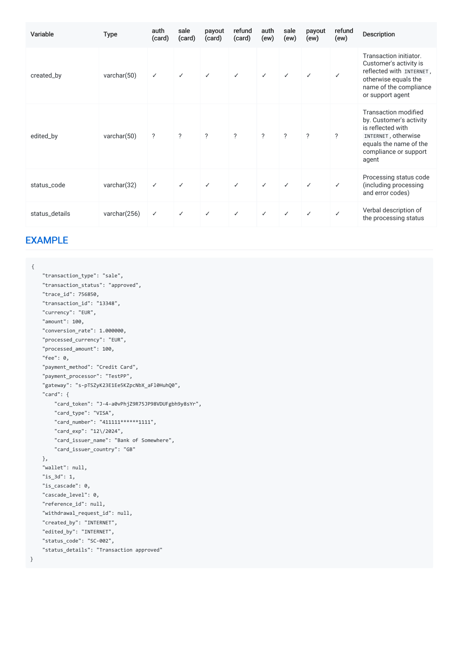| Variable       | <b>Type</b>    | auth<br>(card)           | sale<br>(card)     | payout<br>(card) | refund<br>(card) | auth<br>(ew)             | sale<br>(ew) | payout<br>(ew) | refund<br>(ew) | Description                                                                                                                                                    |
|----------------|----------------|--------------------------|--------------------|------------------|------------------|--------------------------|--------------|----------------|----------------|----------------------------------------------------------------------------------------------------------------------------------------------------------------|
| created_by     | varchar(50)    | ✓                        | ✓                  | $\checkmark$     | $\checkmark$     | $\checkmark$             | ✓            | $\checkmark$   | ✓              | Transaction initiator.<br>Customer's activity is<br>reflected with INTERNET,<br>otherwise equals the<br>name of the compliance<br>or support agent             |
| edited_by      | varchar $(50)$ | $\overline{\phantom{a}}$ | $\overline{\cdot}$ | $\overline{?}$   | $\overline{?}$   | $\overline{\phantom{a}}$ | ?            | $\mathcal{P}$  | ?              | <b>Transaction modified</b><br>by. Customer's activity<br>is reflected with<br>INTERNET, otherwise<br>equals the name of the<br>compliance or support<br>agent |
| status_code    | varchar(32)    | $\checkmark$             | $\checkmark$       | ✓                | $\checkmark$     | $\checkmark$             | ✓            | $\checkmark$   | $\checkmark$   | Processing status code<br>(including processing<br>and error codes)                                                                                            |
| status_details | varchar(256)   | $\checkmark$             | ✓                  | $\checkmark$     | $\checkmark$     | $\checkmark$             | ✓            |                |                | Verbal description of<br>the processing status                                                                                                                 |

### <span id="page-49-0"></span>[EXAMPLE](#page-49-0)

```
{
```

| "transaction_type": "sale",                       |
|---------------------------------------------------|
| "transaction_status": "approved",                 |
| "trace id": 756850,                               |
| "transaction_id": "13348",                        |
| "currency": "EUR",                                |
| "amount": 100.                                    |
| "conversion_rate": 1.000000,                      |
| "processed currency": "EUR",                      |
| "processed amount": 100,                          |
| "fee": 0.                                         |
| "payment method": "Credit Card",                  |
| "payment_processor": "TestPP",                    |
| "gateway": "s-pTSZyK23E1Ee5KZpcNbX aF10Huh00",    |
| "card": $\{$                                      |
| "card token": "J-4-a0vPhjZ9R75JP98VDUFgbh9y8sYr", |
| "card type": "VISA",                              |
| "card number": "411111******1111",                |
| "card_exp": "12\/2024",                           |
| "card issuer name": "Bank of Somewhere",          |
| "card issuer country": "GB"                       |
| },                                                |
| "wallet": null,                                   |
| "is 3d": 1,                                       |
| "is cascade": 0,                                  |
| "cascade level": 0,                               |
| "reference_id": null,                             |
| "withdrawal request id": null,                    |
| "created_by": "INTERNET",                         |
| "edited by": "INTERNET",                          |
| "status code": "SC-002",                          |
| "status details": "Transaction approved"          |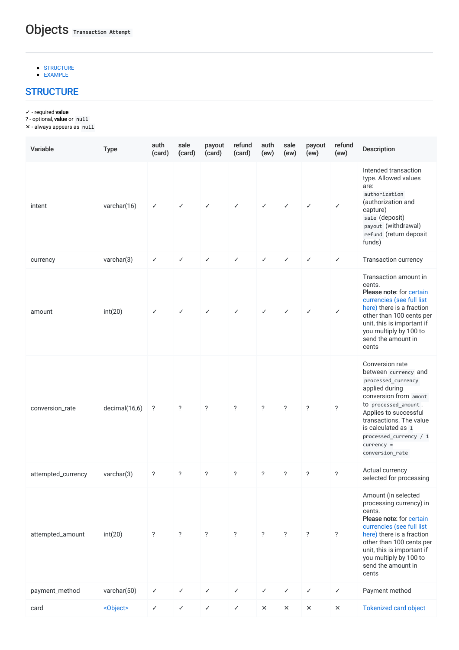- **[STRUCTURE](#page-50-0)**
- <span id="page-50-0"></span>[EXAMPLE](#page-51-0)

✓ - required value

? - optional, **value** or null

✕ - always appears as null

| Variable           | <b>Type</b>       | auth<br>(card)     | sale<br>(card)     | payout<br>(card) | refund<br>(card) | auth<br>(ew)             | sale<br>(ew)             | payout<br>(ew)           | refund<br>(ew) | <b>Description</b>                                                                                                                                                                                                                                                      |
|--------------------|-------------------|--------------------|--------------------|------------------|------------------|--------------------------|--------------------------|--------------------------|----------------|-------------------------------------------------------------------------------------------------------------------------------------------------------------------------------------------------------------------------------------------------------------------------|
| intent             | varchar(16)       | ✓                  | ✓                  | $\checkmark$     | ✓                | ✓                        | ✓                        | ✓                        | ✓              | Intended transaction<br>type. Allowed values<br>are:<br>authorization<br>(authorization and<br>capture)<br>sale (deposit)<br>payout (withdrawal)<br>refund (return deposit<br>funds)                                                                                    |
| currency           | varchar(3)        | ✓                  | $\checkmark$       | $\checkmark$     | $\checkmark$     | $\checkmark$             | $\checkmark$             | $\checkmark$             | ✓              | Transaction currency                                                                                                                                                                                                                                                    |
| amount             | int(20)           | ✓                  | ✓                  | $\checkmark$     | $\checkmark$     | ✓                        | ✓                        | ✓                        | $\checkmark$   | Transaction amount in<br>cents.<br>Please note: for certain<br>currencies (see full list<br>here) there is a fraction<br>other than 100 cents per<br>unit, this is important if<br>you multiply by 100 to<br>send the amount in<br>cents                                |
| conversion_rate    | decimal(16,6)     | ?                  | $\overline{\cdot}$ | ?                | $\ddot{?}$       | $\overline{\phantom{a}}$ | $\overline{\phantom{a}}$ | $\overline{\phantom{a}}$ | $\ddot{?}$     | Conversion rate<br>between currency and<br>processed_currency<br>applied during<br>conversion from amont<br>to processed_amount.<br>Applies to successful<br>transactions. The value<br>is calculated as 1<br>processed_currency / 1<br>$currency =$<br>conversion_rate |
| attempted_currency | varchar(3)        | $\ddot{?}$         | $\overline{\cdot}$ | ?                | ?                | ?                        | $\overline{\phantom{a}}$ | $\overline{\phantom{a}}$ | $\ddot{?}$     | Actual currency<br>selected for processing                                                                                                                                                                                                                              |
| attempted_amount   | int(20)           | $\overline{\cdot}$ | $\ddot{?}$         | $\overline{?}$   | $\overline{?}$   | $\overline{\mathcal{E}}$ | $\overline{\phantom{a}}$ | $\overline{?}$           | $\overline{?}$ | Amount (in selected<br>processing currency) in<br>cents.<br>Please note: for certain<br>currencies (see full list<br>here) there is a fraction<br>other than 100 cents per<br>unit, this is important if<br>you multiply by 100 to<br>send the amount in<br>cents       |
| payment_method     | varchar(50)       | ✓                  | $\checkmark$       | $\checkmark$     | $\checkmark$     | $\checkmark$             | $\checkmark$             | $\checkmark$             | ✓              | Payment method                                                                                                                                                                                                                                                          |
| card               | <object></object> | ✓                  | $\checkmark$       | $\checkmark$     | $\checkmark$     | $\times$                 | $\times$                 | $\times$                 | $\times$       | <b>Tokenized card object</b>                                                                                                                                                                                                                                            |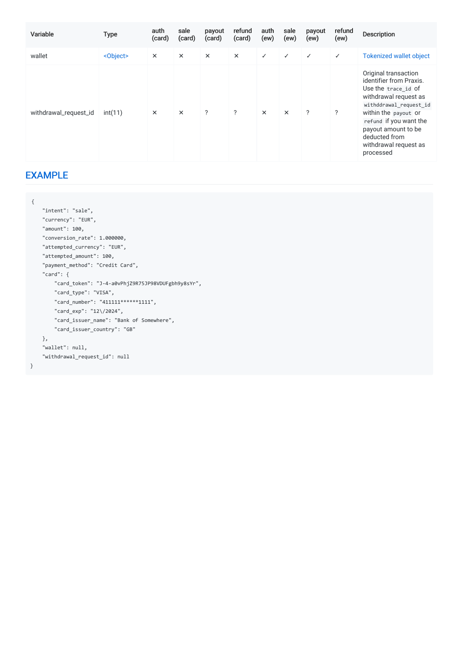| Variable              | <b>Type</b>       | auth<br>(card) | sale<br>(card) | payout<br>(card) | refund<br>(card) | auth<br>(ew) | sale<br>(ew) | payout<br>(ew) | refund<br>(ew) | <b>Description</b>                                                                                                                                                                                                                                        |
|-----------------------|-------------------|----------------|----------------|------------------|------------------|--------------|--------------|----------------|----------------|-----------------------------------------------------------------------------------------------------------------------------------------------------------------------------------------------------------------------------------------------------------|
| wallet                | <object></object> | $\times$       | $\times$       | $\times$         | $\times$         | $\checkmark$ | $\checkmark$ | $\checkmark$   | $\checkmark$   | <b>Tokenized wallet object</b>                                                                                                                                                                                                                            |
| withdrawal_request_id | int(11)           | $\times$       | $\times$       | $\overline{?}$   | ?                | $\times$     | $\times$     | $\overline{?}$ | ?              | Original transaction<br>identifier from Praxis.<br>Use the trace_id of<br>withdrawal request as<br>withddrawal_request_id<br>within the payout or<br>refund if you want the<br>payout amount to be<br>deducted from<br>withdrawal request as<br>processed |

# <span id="page-51-0"></span>[EXAMPLE](#page-51-0)

| € |                                                   |
|---|---------------------------------------------------|
|   | "intent": "sale",                                 |
|   | "currency": "EUR",                                |
|   | "amount": 100,                                    |
|   | "conversion_rate": 1.000000,                      |
|   | "attempted_currency": "EUR",                      |
|   | "attempted amount": 100,                          |
|   | "payment_method": "Credit Card",                  |
|   | "card": $\{$                                      |
|   | "card_token": "J-4-a0vPhjZ9R75JP98VDUFgbh9y8sYr", |
|   | "card type": "VISA",                              |
|   | "card number": "411111******1111",                |
|   | "card exp": "12\/2024",                           |
|   | "card_issuer_name": "Bank of Somewhere",          |
|   | "card_issuer_country": "GB"                       |
|   | },                                                |
|   | "wallet": null,                                   |
|   | "withdrawal_request_id": null                     |
| } |                                                   |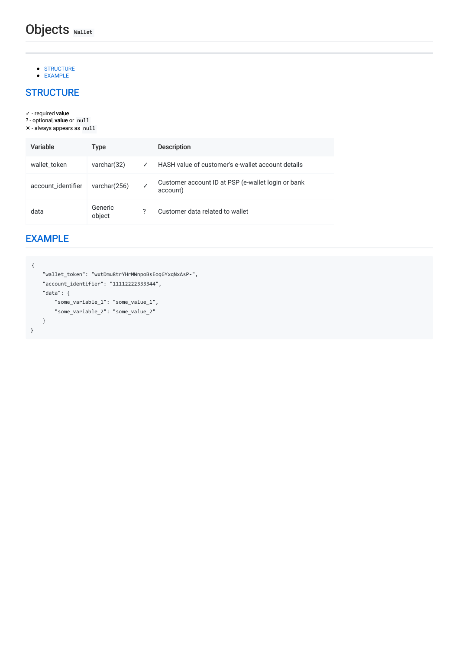# Objects Wallet

- [STRUCTURE](#page-52-0)
- [EXAMPLE](#page-52-1)

# <span id="page-52-0"></span>**[STRUCTURE](#page-52-0)**

- ✓ required value
- ? optional, **value** or null
- ✕ always appears as null

| Variable           | Type              |              | <b>Description</b>                                             |
|--------------------|-------------------|--------------|----------------------------------------------------------------|
| wallet token       | varchar $(32)$    | $\checkmark$ | HASH value of customer's e-wallet account details              |
| account_identifier | varchar(256)      |              | Customer account ID at PSP (e-wallet login or bank<br>account) |
| data               | Generic<br>object |              | Customer data related to wallet                                |

# <span id="page-52-1"></span>[EXAMPLE](#page-52-1)

```
{
    "wallet_token": "wxtDmu8trYHrMWnpoBsEoq6YxqNxAsP-",
    "account_identifier": "11112222333344",
   "data": {
       "some_variable_1": "some_value_1",
       "some_variable_2": "some_value_2"
   }
}
```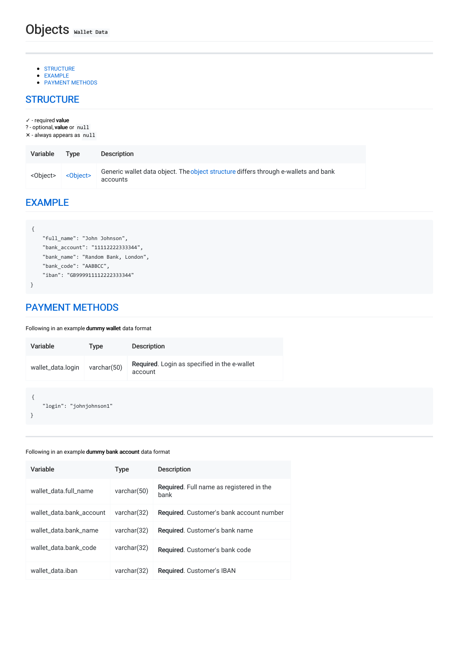- **[STRUCTURE](#page-53-0)**
- [EXAMPLE](#page-53-1)
- <span id="page-53-0"></span>• PAYMENT [METHODS](#page-53-2)

✓ - required value

? - optional, value or null

✕ - always appears as null

| Variable          | Type              | Description                                                                                     |
|-------------------|-------------------|-------------------------------------------------------------------------------------------------|
| <object></object> | <object></object> | Generic wallet data object. The object structure differs through e-wallets and bank<br>accounts |

### <span id="page-53-1"></span>[EXAMPLE](#page-53-1)

```
{
    "full_name": "John Johnson",
    "bank_account": "11112222333344",
    "bank_name": "Random Bank, London",
    "bank_code": "AABBCC",
    "iban": "GB999911112222333344"
}
```
# <span id="page-53-2"></span>PAYMENT [METHODS](#page-53-2)

#### Following in an example dummy wallet data format

| Variable                | <b>Type</b> | <b>Description</b>                                      |
|-------------------------|-------------|---------------------------------------------------------|
| wallet_data.login       | varchar(50) | Required. Login as specified in the e-wallet<br>account |
| "login": "johnjohnson1" |             |                                                         |

#### Following in an example dummy bank account data format

| Variable                 | Type        | <b>Description</b>                               |
|--------------------------|-------------|--------------------------------------------------|
| wallet data.full name    | varchar(50) | Required. Full name as registered in the<br>bank |
| wallet data.bank account | varchar(32) | Required. Customer's bank account number         |
| wallet data.bank name    | varchar(32) | Required. Customer's bank name                   |
| wallet data.bank code    | varchar(32) | Required. Customer's bank code                   |
| wallet data.iban         | varchar(32) | Required. Customer's IBAN                        |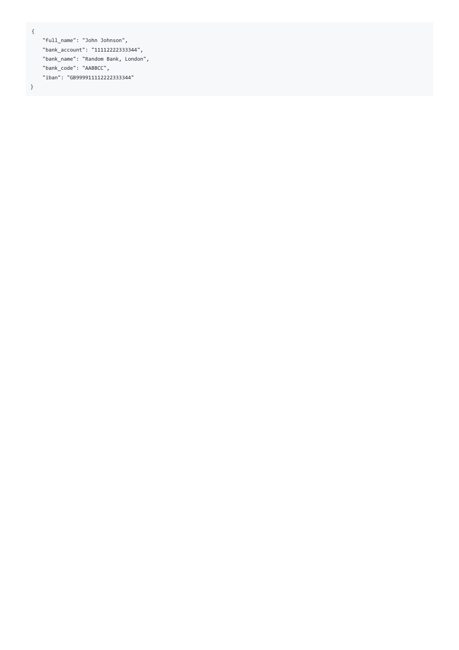```
}
```
"full\_name": "John Johnson", "bank\_account": "11112222333344", "bank\_name": "Random Bank, London", "bank\_code": "AABBCC", "iban": "GB999911112222333344"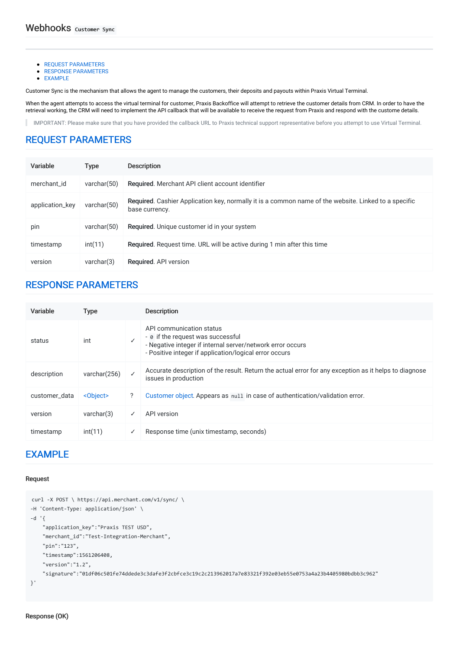- **REQUEST [PARAMETERS](#page-55-0)**
- **RESPONSE [PARAMETERS](#page-55-1)**
- [EXAMPLE](#page-55-2)

Customer Sync is the mechanism that allows the agent to manage the customers, their deposits and payouts within Praxis Virtual Terminal.

When the agent attempts to access the virtual terminal for customer, Praxis Backoffice will attempt to retrieve the customer details from CRM. In order to have the retrieval working, the CRM will need to implement the API callback that will be available to receive the request from Praxis and respond with the custome details.

IMPORTANT: Please make sure that you have provided the callback URL to Praxis technical support representative before you attempt to use Virtual Terminal. п

# <span id="page-55-0"></span>REQUEST [PARAMETERS](#page-55-0)

| Variable        | <b>Type</b>    | <b>Description</b>                                                                                                     |
|-----------------|----------------|------------------------------------------------------------------------------------------------------------------------|
| merchant id     | varchar $(50)$ | Required. Merchant API client account identifier                                                                       |
| application_key | varchar $(50)$ | Required. Cashier Application key, normally it is a common name of the website. Linked to a specific<br>base currency. |
| pin             | varchar $(50)$ | Required. Unique customer id in your system                                                                            |
| timestamp       | int(11)        | Required. Request time. URL will be active during 1 min after this time                                                |
| version         | varchar(3)     | <b>Required.</b> API version                                                                                           |

### <span id="page-55-1"></span>RESPONSE [PARAMETERS](#page-55-1)

| Variable      | Type              |   | <b>Description</b>                                                                                                                                                                    |
|---------------|-------------------|---|---------------------------------------------------------------------------------------------------------------------------------------------------------------------------------------|
| status        | int               |   | API communication status<br>- o if the request was successful<br>- Negative integer if internal server/network error occurs<br>- Positive integer if application/logical error occurs |
| description   | varchar(256)      |   | Accurate description of the result. Return the actual error for any exception as it helps to diagnose<br>issues in production                                                         |
| customer data | <object></object> | ? | Customer object. Appears as null in case of authentication/validation error.                                                                                                          |
| version       | varchar(3)        | ✓ | API version                                                                                                                                                                           |
| timestamp     | int(11)           | ✓ | Response time (unix timestamp, seconds)                                                                                                                                               |

### <span id="page-55-2"></span>[EXAMPLE](#page-55-2)

#### Request

```
curl -X POST \ https://api.merchant.com/v1/sync/ \
-H 'Content-Type: application/json' \
-d '{
    "application_key":"Praxis TEST USD",
    "merchant_id":"Test-Integration-Merchant",
    "pin":"123",
    "timestamp":1561206408,
    "version":"1.2",
    "signature":"01df06c501fe74ddede3c3dafe3f2cbfce3c19c2c213962017a7e83321f392e03eb55e0753a4a23b4405980bdbb3c962"
}'
```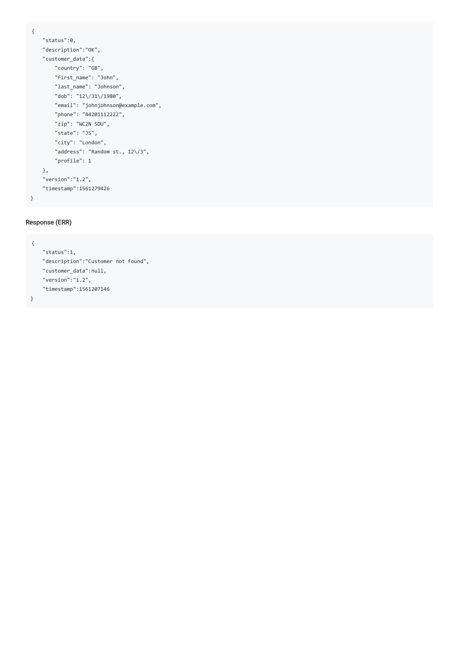```
{
   "status":0,
   "description":"OK",
   "customer_data":{
       "country": "GB",
       "first_name": "John",
       "last_name": "Johnson",
       "dob": "12\/31\/1980",
       "email": "johnjohnson@example.com",
       "phone": "44201112222",
       "zip": "WC2N 5DU",
       "state": "JS",
       "city": "London",
       "address": "Random st., 12\/3",
       "profile": 1
   },
   "version":"1.2",
   "timestamp":1561279426
}
```
#### Response (ERR)

```
{
   "status":1,
   "description":"Customer not found",
   "customer_data":null,
   "version":"1.2",
   "timestamp":1561207146
}
```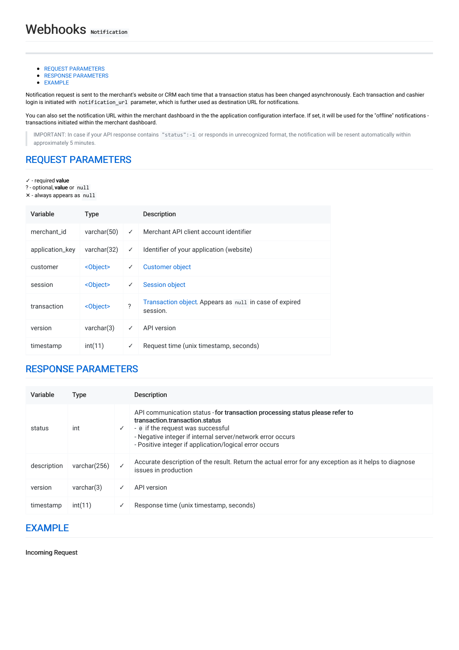- **REQUEST [PARAMETERS](#page-57-0)**
- **RESPONSE [PARAMETERS](#page-57-1)**
- [EXAMPLE](#page-57-2)

Notification request is sent to the merchant's website or CRM each time that a transaction status has been changed asynchronously. Each transaction and cashier login is initiated with notification\_url parameter, which is further used as destination URL for notifications.

You can also set the notification URL within the merchant dashboard in the the application configuration interface. If set, it will be used for the "offline" notifications transactions initiated within the merchant dashboard.

IMPORTANT: In case if your API response contains "status":-1 or responds in unrecognized format, the notification will be resent automatically within approximately 5 minutes.

# <span id="page-57-0"></span>REQUEST [PARAMETERS](#page-57-0)

✓ - required value

? - optional, value or null

✕ - always appears as null

| Variable        | <b>Type</b>       |              | <b>Description</b>                                                 |
|-----------------|-------------------|--------------|--------------------------------------------------------------------|
| merchant id     | varchar $(50)$    | ✓            | Merchant API client account identifier                             |
| application_key | varchar $(32)$    | $\checkmark$ | Identifier of your application (website)                           |
| customer        | <object></object> | ✓            | <b>Customer object</b>                                             |
| session         | <object></object> | ✓            | <b>Session object</b>                                              |
| transaction     | <object></object> | ?            | Transaction object. Appears as null in case of expired<br>session. |
| version         | varchar(3)        | ✓            | API version                                                        |
| timestamp       | int(11)           | ✓            | Request time (unix timestamp, seconds)                             |

### <span id="page-57-1"></span>RESPONSE [PARAMETERS](#page-57-1)

| Variable    | Type         |   | <b>Description</b>                                                                                                                                                                                                                                                          |
|-------------|--------------|---|-----------------------------------------------------------------------------------------------------------------------------------------------------------------------------------------------------------------------------------------------------------------------------|
| status      | int          | ✓ | API communication status - for transaction processing status please refer to<br>transaction transaction status<br>- ø if the request was successful<br>- Negative integer if internal server/network error occurs<br>- Positive integer if application/logical error occurs |
| description | varchar(256) |   | Accurate description of the result. Return the actual error for any exception as it helps to diagnose<br>issues in production                                                                                                                                               |
| version     | varchar(3)   | ✓ | API version                                                                                                                                                                                                                                                                 |
| timestamp   | int(11)      | ✓ | Response time (unix timestamp, seconds)                                                                                                                                                                                                                                     |

### <span id="page-57-2"></span>[EXAMPLE](#page-57-2)

Incoming Request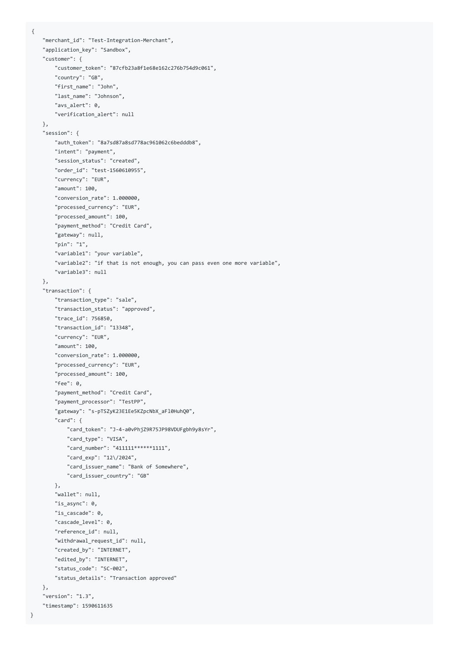```
"merchant_id": "Test-Integration-Merchant",
"application_key": "Sandbox",
"customer": {
    "customer_token": "87cfb23a8f1e68e162c276b754d9c061",
    "country": "GB",
    "first_name": "John",
    "last_name": "Johnson",
    "avs_alert": 0,
    "verification_alert": null
},
"session": {
    "auth_token": "8a7sd87a8sd778ac961062c6bedddb8",
    "intent": "payment",
    "session_status": "created",
    "order_id": "test-1560610955",
    "currency": "EUR",
    "amount": 100,
    "conversion_rate": 1.000000,
    "processed_currency": "EUR",
    "processed_amount": 100,
    "payment_method": "Credit Card",
    "gateway": null,
    "pin": "1",
    "variable1": "your variable",
    "variable2": "if that is not enough, you can pass even one more variable",
    "variable3": null
},
"transaction": {
    "transaction_type": "sale",
    "transaction_status": "approved",
    "trace_id": 756850,
    "transaction_id": "13348",
    "currency": "EUR",
    "amount": 100,
    "conversion_rate": 1.000000,
    "processed_currency": "EUR",
    "processed_amount": 100,
    "fee": 0,
    "payment_method": "Credit Card",
    "payment_processor": "TestPP",
    "gateway": "s-pTSZyK23E1Ee5KZpcNbX_aFl0HuhQ0",
    "card": {
        "card_token": "J-4-a0vPhjZ9R75JP98VDUFgbh9y8sYr",
        "card_type": "VISA",
        "card_number": "411111******1111",
        "card_exp": "12\/2024",
        "card_issuer_name": "Bank of Somewhere",
        "card_issuer_country": "GB"
    },
    "wallet": null,
    "is_async": 0,
    "is_cascade": 0,
    "cascade level": 0,
    "reference_id": null,
    "withdrawal_request_id": null,
    "created_by": "INTERNET",
    "edited_by": "INTERNET",
    "status_code": "SC-002",
    "status_details": "Transaction approved"
},
"version": "1.3",
"timestamp": 1590611635
```
{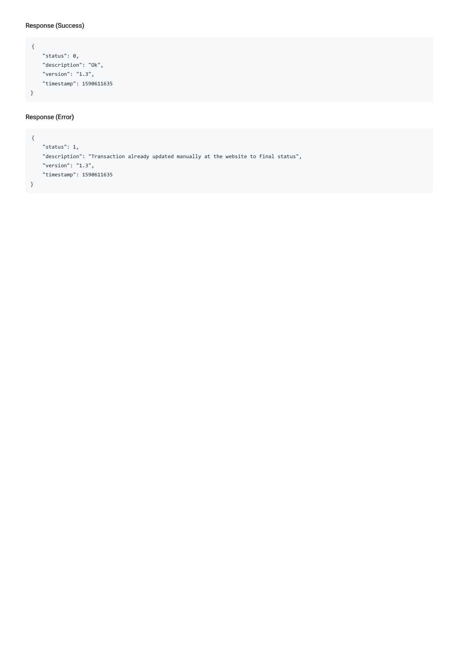#### Response (Success)

```
{
   "status": 0,
   "description": "Ok",
   "version": "1.3",
   "timestamp": 1590611635
}
```
#### Response (Error)

```
{
    "status": 1,
    "description": "Transaction already updated manually at the website to final status",
    "version": "1.3",
    "timestamp": 1590611635
}
```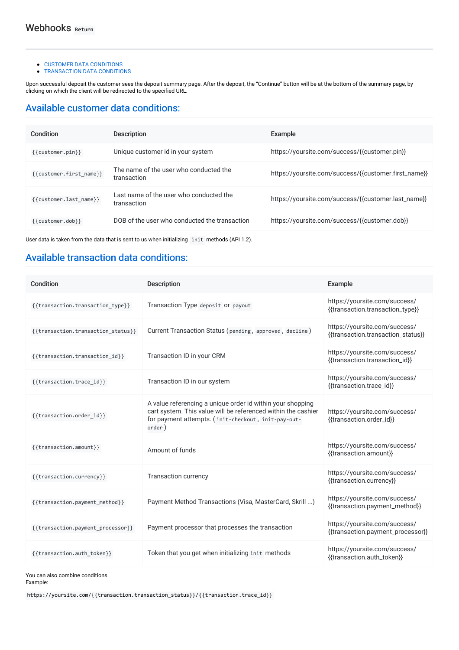- CUSTOMER DATA [CONDITIONS](#page-60-0)
- **[TRANSACTION](#page-60-1) DATA CONDITIONS**

Upon successful deposit the customer sees the deposit summary page. After the deposit, the "Continue" button will be at the bottom of the summary page, by clicking on which the client will be redirected to the specified URL.

### <span id="page-60-0"></span>Available customer data [conditions:](#page-60-0)

| Condition               | Description                                            | Example                                              |
|-------------------------|--------------------------------------------------------|------------------------------------------------------|
| {{customer.pin}}        | Unique customer id in your system                      | https://yoursite.com/success/{{customer.pin}}        |
| {{customer.first name}} | The name of the user who conducted the<br>transaction  | https://yoursite.com/success/{{customer.first_name}} |
| {{customer.last name}}  | Last name of the user who conducted the<br>transaction | https://yoursite.com/success/{{customer.last_name}}  |
| {{customer.dob}}        | DOB of the user who conducted the transaction          | https://yoursite.com/success/{{customer.dob}}        |

User data is taken from the data that is sent to us when initializing init methods (API 1.2).

# <span id="page-60-1"></span>Available [transaction](#page-60-1) data conditions:

| Condition                          | <b>Description</b>                                                                                                                                                                           | Example                                                             |
|------------------------------------|----------------------------------------------------------------------------------------------------------------------------------------------------------------------------------------------|---------------------------------------------------------------------|
| {{transaction.transaction type}}   | Transaction Type deposit Or payout                                                                                                                                                           | https://yoursite.com/success/<br>{{transaction.transaction_type}}   |
| {{transaction.transaction status}} | Current Transaction Status (pending, approved, decline)                                                                                                                                      | https://yoursite.com/success/<br>{{transaction.transaction_status}} |
| {{transaction.transaction_id}}     | Transaction ID in your CRM                                                                                                                                                                   | https://yoursite.com/success/<br>{{transaction.transaction_id}}     |
| {{transaction.trace id}}           | Transaction ID in our system                                                                                                                                                                 | https://yoursite.com/success/<br>{{transaction.trace_id}}           |
| {{transaction.order id}}           | A value referencing a unique order id within your shopping<br>cart system. This value will be referenced within the cashier<br>for payment attempts. (init-checkout, init-pay-out-<br>order) | https://yoursite.com/success/<br>{{transaction.order_id}}           |
| {{transaction.amount}}             | Amount of funds                                                                                                                                                                              | https://yoursite.com/success/<br>{{transaction.amount}}             |
| {{transaction.currency}}           | <b>Transaction currency</b>                                                                                                                                                                  | https://yoursite.com/success/<br>{{transaction.currency}}           |
| {{transaction.payment method}}     | Payment Method Transactions (Visa, MasterCard, Skrill )                                                                                                                                      | https://yoursite.com/success/<br>{{transaction.payment_method}}     |
| {{transaction.payment processor}}  | Payment processor that processes the transaction                                                                                                                                             | https://yoursite.com/success/<br>{{transaction.payment_processor}}  |
| {{transaction.auth token}}         | Token that you get when initializing init methods                                                                                                                                            | https://yoursite.com/success/<br>{{transaction.auth_token}}         |

You can also combine conditions.

Example:

https://yoursite.com/{{transaction.transaction\_status}}/{{transaction.trace\_id}}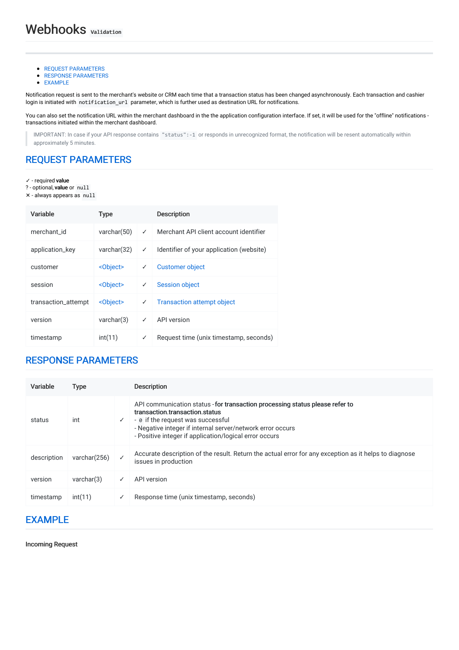- **REQUEST [PARAMETERS](#page-61-0)**
- **RESPONSE [PARAMETERS](#page-61-1)**
- [EXAMPLE](#page-61-2)

Notification request is sent to the merchant's website or CRM each time that a transaction status has been changed asynchronously. Each transaction and cashier login is initiated with notification\_url parameter, which is further used as destination URL for notifications.

You can also set the notification URL within the merchant dashboard in the the application configuration interface. If set, it will be used for the "offline" notifications transactions initiated within the merchant dashboard.

IMPORTANT: In case if your API response contains "status":-1 or responds in unrecognized format, the notification will be resent automatically within approximately 5 minutes.

# <span id="page-61-0"></span>REQUEST [PARAMETERS](#page-61-0)

✓ - required value

? - optional, value or null

✕ - always appears as null

| Variable            | <b>Type</b>       |   | <b>Description</b>                       |
|---------------------|-------------------|---|------------------------------------------|
| merchant id         | varchar $(50)$    | ✓ | Merchant API client account identifier   |
| application_key     | varchar(32)       | ✓ | Identifier of your application (website) |
| customer            | <object></object> | ✓ | <b>Customer object</b>                   |
| session             | <object></object> | ✓ | <b>Session object</b>                    |
| transaction_attempt | <object></object> | ✓ | <b>Transaction attempt object</b>        |
| version             | varchar(3)        | ✓ | API version                              |
| timestamp           | int(11)           | ✓ | Request time (unix timestamp, seconds)   |

### <span id="page-61-1"></span>RESPONSE [PARAMETERS](#page-61-1)

| Variable    | Type            |   | <b>Description</b>                                                                                                                                                                                                                                                          |
|-------------|-----------------|---|-----------------------------------------------------------------------------------------------------------------------------------------------------------------------------------------------------------------------------------------------------------------------------|
| status      | int             | ✓ | API communication status - for transaction processing status please refer to<br>transaction transaction status<br>- ø if the request was successful<br>- Negative integer if internal server/network error occurs<br>- Positive integer if application/logical error occurs |
| description | varchar $(256)$ |   | Accurate description of the result. Return the actual error for any exception as it helps to diagnose<br>issues in production                                                                                                                                               |
| version     | varchar(3)      | ✓ | API version                                                                                                                                                                                                                                                                 |
| timestamp   | int(11)         | ✓ | Response time (unix timestamp, seconds)                                                                                                                                                                                                                                     |

### <span id="page-61-2"></span>[EXAMPLE](#page-61-2)

Incoming Request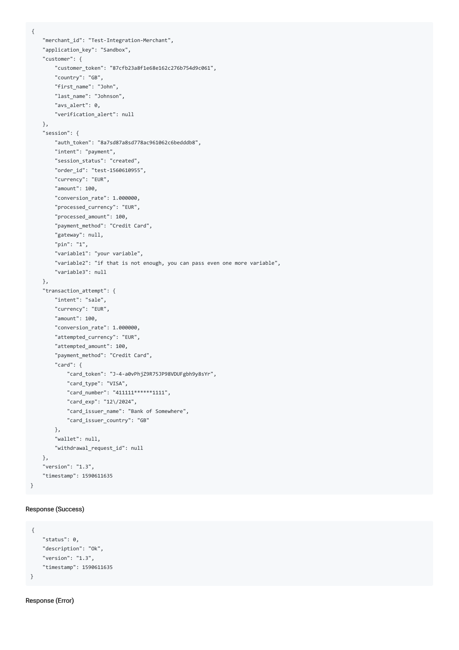```
"merchant_id": "Test-Integration-Merchant",
"application_key": "Sandbox",
"customer": {
    "customer_token": "87cfb23a8f1e68e162c276b754d9c061",
    "country": "GB",
    "first_name": "John",
    "last_name": "Johnson",
    "avs_alert": 0,
    "verification_alert": null
},
"session": {
    "auth_token": "8a7sd87a8sd778ac961062c6bedddb8",
    "intent": "payment",
    "session_status": "created",
    "order_id": "test-1560610955",
    "currency": "EUR",
    "amount": 100,
    "conversion_rate": 1.000000,
    "processed_currency": "EUR",
    "processed_amount": 100,
    "payment_method": "Credit Card",
    "gateway": null,
    "pin": "1",
    "variable1": "your variable",
    "variable2": "if that is not enough, you can pass even one more variable",
    "variable3": null
},
"transaction_attempt": {
    "intent": "sale",
    "currency": "EUR",
    "amount": 100,
    "conversion_rate": 1.000000,
    "attempted_currency": "EUR",
    "attempted_amount": 100,
    "payment_method": "Credit Card",
    "card": {
       "card_token": "J-4-a0vPhjZ9R75JP98VDUFgbh9y8sYr",
       "card_type": "VISA",
       "card_number": "411111******1111",
        "card_exp": "12\/2024",
        "card_issuer_name": "Bank of Somewhere",
        "card_issuer_country": "GB"
    },
    "wallet": null,
    "withdrawal_request_id": null
},
"version": "1.3",
"timestamp": 1590611635
```
#### Response (Success)

}

{

```
{
   "status": 0,
   "description": "Ok",
   "version": "1.3",
    "timestamp": 1590611635
}
```